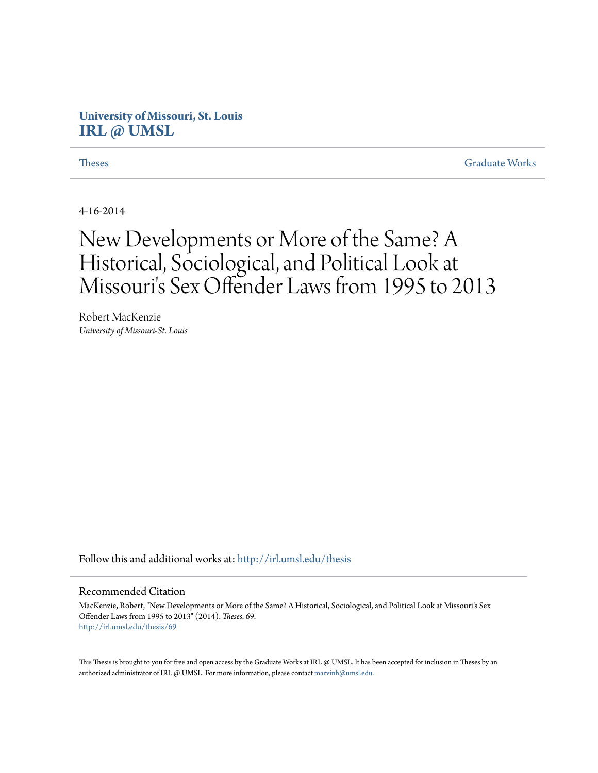# **University of Missouri, St. Louis [IRL @ UMSL](http://irl.umsl.edu?utm_source=irl.umsl.edu%2Fthesis%2F69&utm_medium=PDF&utm_campaign=PDFCoverPages)**

**[Theses](http://irl.umsl.edu/thesis?utm_source=irl.umsl.edu%2Fthesis%2F69&utm_medium=PDF&utm_campaign=PDFCoverPages)** [Graduate Works](http://irl.umsl.edu/grad?utm_source=irl.umsl.edu%2Fthesis%2F69&utm_medium=PDF&utm_campaign=PDFCoverPages)

4-16-2014

# New Developments or More of the Same? A Historical, Sociological, and Political Look at Missouri's Sex Offender Laws from 1995 to 2013

Robert MacKenzie *University of Missouri-St. Louis*

Follow this and additional works at: [http://irl.umsl.edu/thesis](http://irl.umsl.edu/thesis?utm_source=irl.umsl.edu%2Fthesis%2F69&utm_medium=PDF&utm_campaign=PDFCoverPages)

#### Recommended Citation

MacKenzie, Robert, "New Developments or More of the Same? A Historical, Sociological, and Political Look at Missouri's Sex Offender Laws from 1995 to 2013" (2014). *Theses*. 69. [http://irl.umsl.edu/thesis/69](http://irl.umsl.edu/thesis/69?utm_source=irl.umsl.edu%2Fthesis%2F69&utm_medium=PDF&utm_campaign=PDFCoverPages)

This Thesis is brought to you for free and open access by the Graduate Works at IRL @ UMSL. It has been accepted for inclusion in Theses by an authorized administrator of IRL @ UMSL. For more information, please contact [marvinh@umsl.edu](mailto:marvinh@umsl.edu).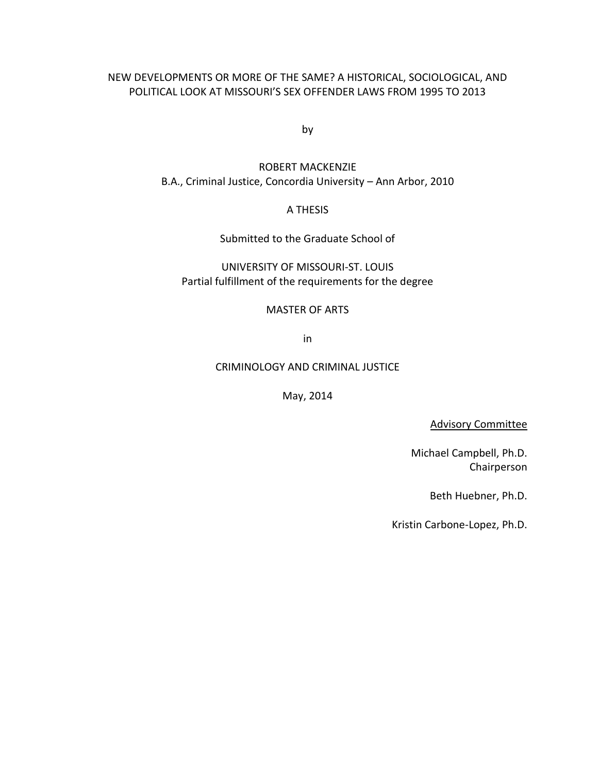### NEW DEVELOPMENTS OR MORE OF THE SAME? A HISTORICAL, SOCIOLOGICAL, AND POLITICAL LOOK AT MISSOURI'S SEX OFFENDER LAWS FROM 1995 TO 2013

by

# ROBERT MACKENZIE B.A., Criminal Justice, Concordia University – Ann Arbor, 2010

### A THESIS

Submitted to the Graduate School of

UNIVERSITY OF MISSOURI-ST. LOUIS Partial fulfillment of the requirements for the degree

#### MASTER OF ARTS

in

#### CRIMINOLOGY AND CRIMINAL JUSTICE

May, 2014

Advisory Committee

Michael Campbell, Ph.D. Chairperson

Beth Huebner, Ph.D.

Kristin Carbone-Lopez, Ph.D.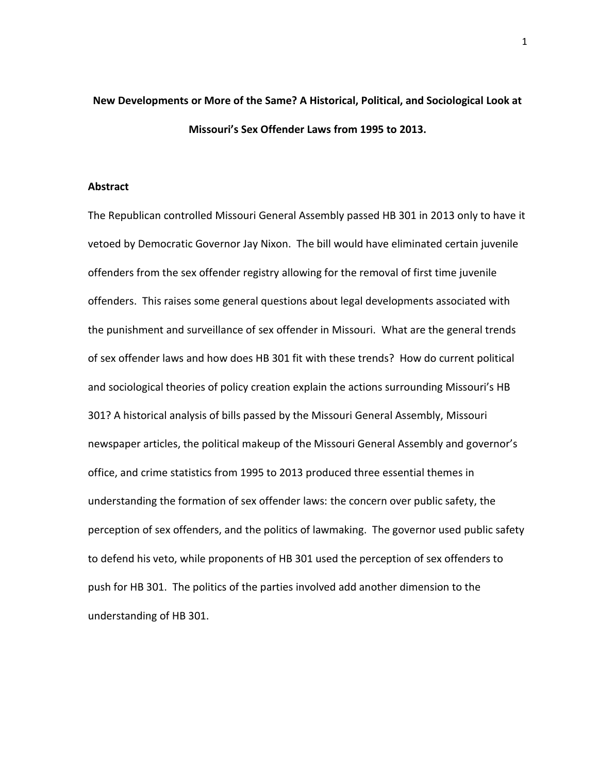# **New Developments or More of the Same? A Historical, Political, and Sociological Look at Missouri's Sex Offender Laws from 1995 to 2013.**

#### **Abstract**

The Republican controlled Missouri General Assembly passed HB 301 in 2013 only to have it vetoed by Democratic Governor Jay Nixon. The bill would have eliminated certain juvenile offenders from the sex offender registry allowing for the removal of first time juvenile offenders. This raises some general questions about legal developments associated with the punishment and surveillance of sex offender in Missouri. What are the general trends of sex offender laws and how does HB 301 fit with these trends? How do current political and sociological theories of policy creation explain the actions surrounding Missouri's HB 301? A historical analysis of bills passed by the Missouri General Assembly, Missouri newspaper articles, the political makeup of the Missouri General Assembly and governor's office, and crime statistics from 1995 to 2013 produced three essential themes in understanding the formation of sex offender laws: the concern over public safety, the perception of sex offenders, and the politics of lawmaking. The governor used public safety to defend his veto, while proponents of HB 301 used the perception of sex offenders to push for HB 301. The politics of the parties involved add another dimension to the understanding of HB 301.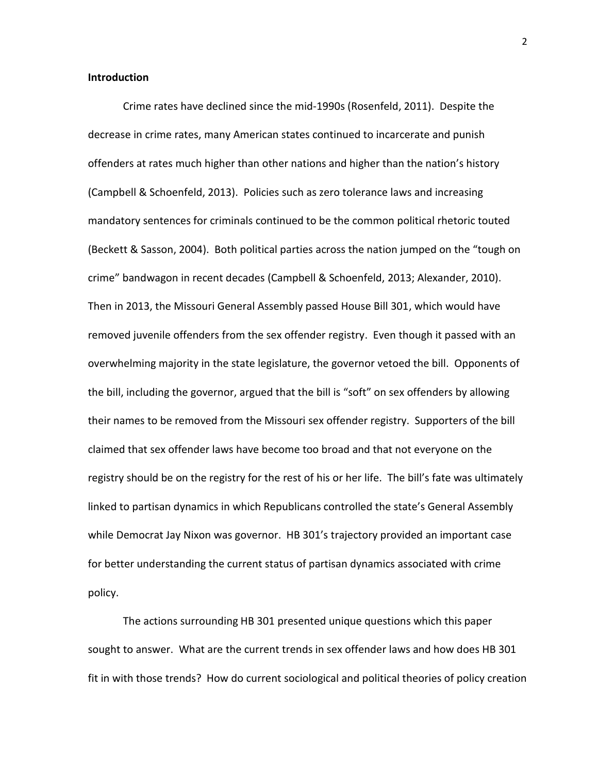#### **Introduction**

Crime rates have declined since the mid-1990s (Rosenfeld, 2011). Despite the decrease in crime rates, many American states continued to incarcerate and punish offenders at rates much higher than other nations and higher than the nation's history (Campbell & Schoenfeld, 2013). Policies such as zero tolerance laws and increasing mandatory sentences for criminals continued to be the common political rhetoric touted (Beckett & Sasson, 2004). Both political parties across the nation jumped on the "tough on crime" bandwagon in recent decades (Campbell & Schoenfeld, 2013; Alexander, 2010). Then in 2013, the Missouri General Assembly passed House Bill 301, which would have removed juvenile offenders from the sex offender registry. Even though it passed with an overwhelming majority in the state legislature, the governor vetoed the bill. Opponents of the bill, including the governor, argued that the bill is "soft" on sex offenders by allowing their names to be removed from the Missouri sex offender registry. Supporters of the bill claimed that sex offender laws have become too broad and that not everyone on the registry should be on the registry for the rest of his or her life. The bill's fate was ultimately linked to partisan dynamics in which Republicans controlled the state's General Assembly while Democrat Jay Nixon was governor. HB 301's trajectory provided an important case for better understanding the current status of partisan dynamics associated with crime policy.

The actions surrounding HB 301 presented unique questions which this paper sought to answer. What are the current trends in sex offender laws and how does HB 301 fit in with those trends? How do current sociological and political theories of policy creation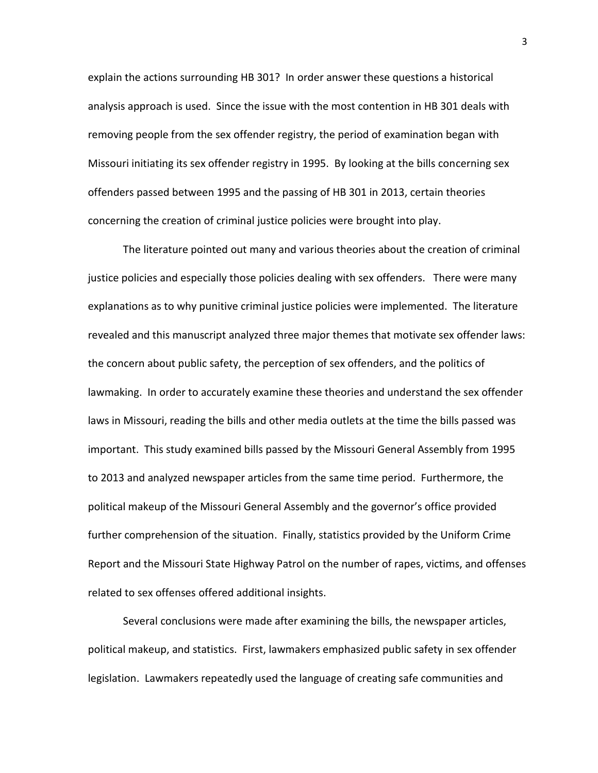explain the actions surrounding HB 301? In order answer these questions a historical analysis approach is used. Since the issue with the most contention in HB 301 deals with removing people from the sex offender registry, the period of examination began with Missouri initiating its sex offender registry in 1995. By looking at the bills concerning sex offenders passed between 1995 and the passing of HB 301 in 2013, certain theories concerning the creation of criminal justice policies were brought into play.

The literature pointed out many and various theories about the creation of criminal justice policies and especially those policies dealing with sex offenders. There were many explanations as to why punitive criminal justice policies were implemented. The literature revealed and this manuscript analyzed three major themes that motivate sex offender laws: the concern about public safety, the perception of sex offenders, and the politics of lawmaking. In order to accurately examine these theories and understand the sex offender laws in Missouri, reading the bills and other media outlets at the time the bills passed was important. This study examined bills passed by the Missouri General Assembly from 1995 to 2013 and analyzed newspaper articles from the same time period. Furthermore, the political makeup of the Missouri General Assembly and the governor's office provided further comprehension of the situation. Finally, statistics provided by the Uniform Crime Report and the Missouri State Highway Patrol on the number of rapes, victims, and offenses related to sex offenses offered additional insights.

Several conclusions were made after examining the bills, the newspaper articles, political makeup, and statistics. First, lawmakers emphasized public safety in sex offender legislation. Lawmakers repeatedly used the language of creating safe communities and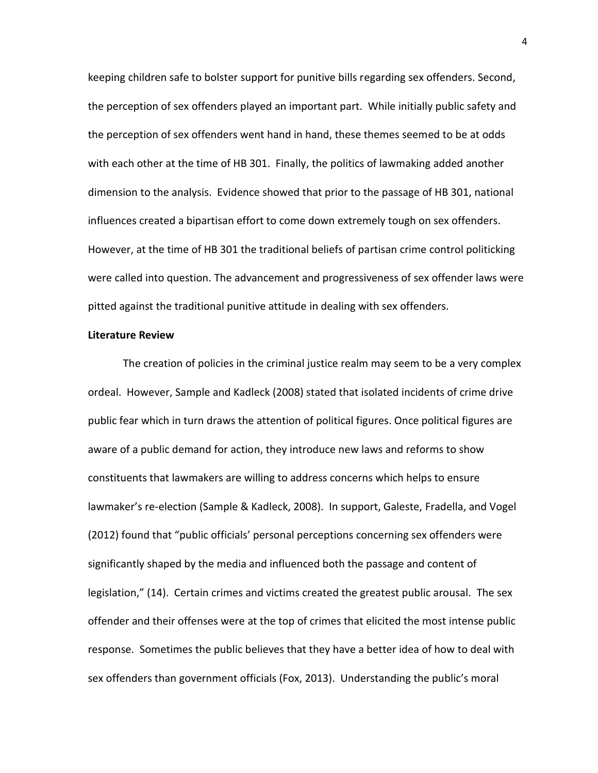keeping children safe to bolster support for punitive bills regarding sex offenders. Second, the perception of sex offenders played an important part. While initially public safety and the perception of sex offenders went hand in hand, these themes seemed to be at odds with each other at the time of HB 301. Finally, the politics of lawmaking added another dimension to the analysis. Evidence showed that prior to the passage of HB 301, national influences created a bipartisan effort to come down extremely tough on sex offenders. However, at the time of HB 301 the traditional beliefs of partisan crime control politicking were called into question. The advancement and progressiveness of sex offender laws were pitted against the traditional punitive attitude in dealing with sex offenders.

#### **Literature Review**

The creation of policies in the criminal justice realm may seem to be a very complex ordeal. However, Sample and Kadleck (2008) stated that isolated incidents of crime drive public fear which in turn draws the attention of political figures. Once political figures are aware of a public demand for action, they introduce new laws and reforms to show constituents that lawmakers are willing to address concerns which helps to ensure lawmaker's re-election (Sample & Kadleck, 2008). In support, Galeste, Fradella, and Vogel (2012) found that "public officials' personal perceptions concerning sex offenders were significantly shaped by the media and influenced both the passage and content of legislation," (14). Certain crimes and victims created the greatest public arousal. The sex offender and their offenses were at the top of crimes that elicited the most intense public response. Sometimes the public believes that they have a better idea of how to deal with sex offenders than government officials (Fox, 2013). Understanding the public's moral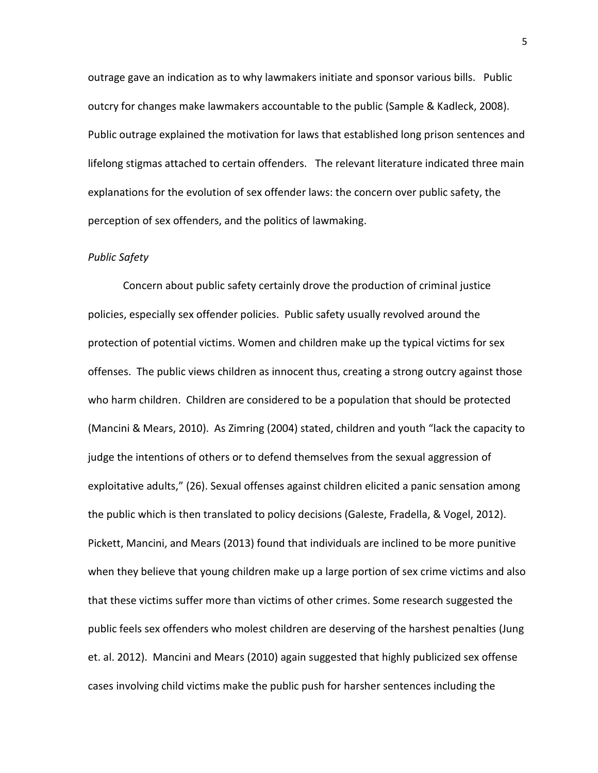outrage gave an indication as to why lawmakers initiate and sponsor various bills. Public outcry for changes make lawmakers accountable to the public (Sample & Kadleck, 2008). Public outrage explained the motivation for laws that established long prison sentences and lifelong stigmas attached to certain offenders. The relevant literature indicated three main explanations for the evolution of sex offender laws: the concern over public safety, the perception of sex offenders, and the politics of lawmaking.

#### *Public Safety*

Concern about public safety certainly drove the production of criminal justice policies, especially sex offender policies. Public safety usually revolved around the protection of potential victims. Women and children make up the typical victims for sex offenses. The public views children as innocent thus, creating a strong outcry against those who harm children. Children are considered to be a population that should be protected (Mancini & Mears, 2010). As Zimring (2004) stated, children and youth "lack the capacity to judge the intentions of others or to defend themselves from the sexual aggression of exploitative adults," (26). Sexual offenses against children elicited a panic sensation among the public which is then translated to policy decisions (Galeste, Fradella, & Vogel, 2012). Pickett, Mancini, and Mears (2013) found that individuals are inclined to be more punitive when they believe that young children make up a large portion of sex crime victims and also that these victims suffer more than victims of other crimes. Some research suggested the public feels sex offenders who molest children are deserving of the harshest penalties (Jung et. al. 2012). Mancini and Mears (2010) again suggested that highly publicized sex offense cases involving child victims make the public push for harsher sentences including the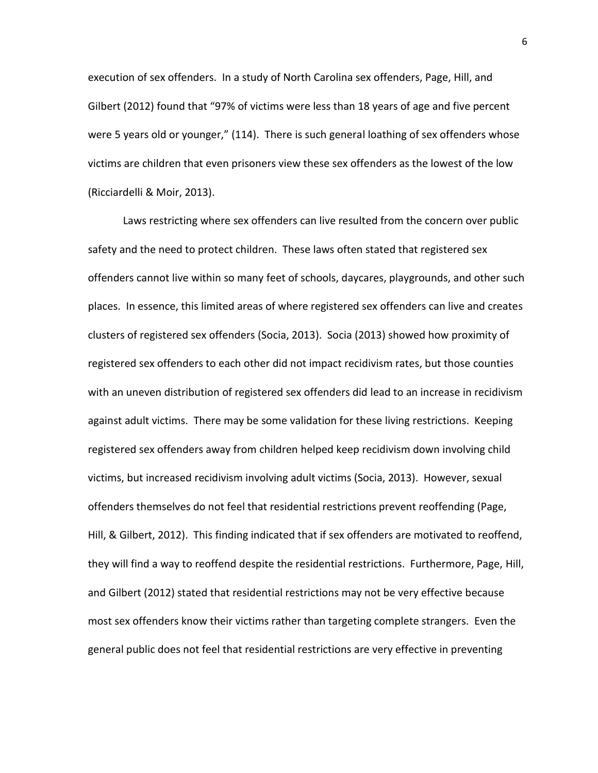execution of sex offenders. In a study of North Carolina sex offenders, Page, Hill, and Gilbert (2012) found that "97% of victims were less than 18 years of age and five percent were 5 years old or younger," (114). There is such general loathing of sex offenders whose victims are children that even prisoners view these sex offenders as the lowest of the low (Ricciardelli & Moir, 2013).

Laws restricting where sex offenders can live resulted from the concern over public safety and the need to protect children. These laws often stated that registered sex offenders cannot live within so many feet of schools, daycares, playgrounds, and other such places. In essence, this limited areas of where registered sex offenders can live and creates clusters of registered sex offenders (Socia, 2013). Socia (2013) showed how proximity of registered sex offenders to each other did not impact recidivism rates, but those counties with an uneven distribution of registered sex offenders did lead to an increase in recidivism against adult victims. There may be some validation for these living restrictions. Keeping registered sex offenders away from children helped keep recidivism down involving child victims, but increased recidivism involving adult victims (Socia, 2013). However, sexual offenders themselves do not feel that residential restrictions prevent reoffending (Page, Hill, & Gilbert, 2012). This finding indicated that if sex offenders are motivated to reoffend, they will find a way to reoffend despite the residential restrictions. Furthermore, Page, Hill, and Gilbert (2012) stated that residential restrictions may not be very effective because most sex offenders know their victims rather than targeting complete strangers. Even the general public does not feel that residential restrictions are very effective in preventing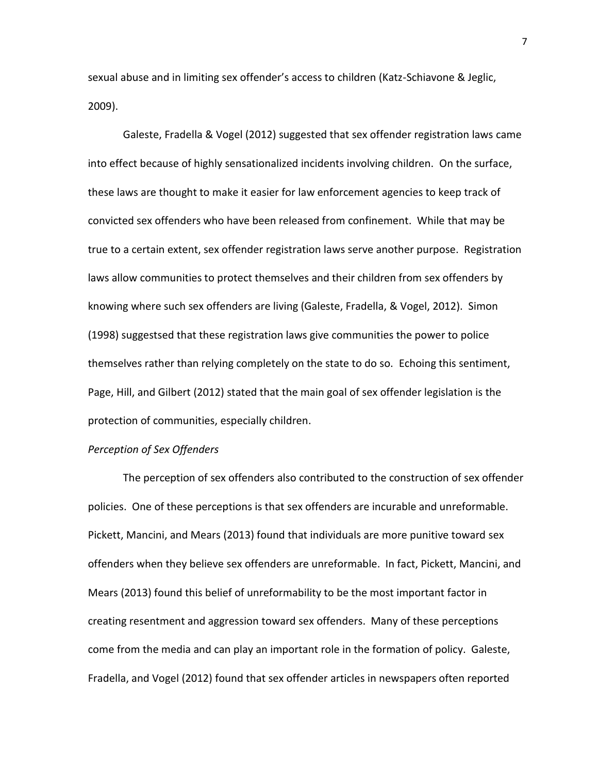sexual abuse and in limiting sex offender's access to children (Katz-Schiavone & Jeglic, 2009).

Galeste, Fradella & Vogel (2012) suggested that sex offender registration laws came into effect because of highly sensationalized incidents involving children. On the surface, these laws are thought to make it easier for law enforcement agencies to keep track of convicted sex offenders who have been released from confinement. While that may be true to a certain extent, sex offender registration laws serve another purpose. Registration laws allow communities to protect themselves and their children from sex offenders by knowing where such sex offenders are living (Galeste, Fradella, & Vogel, 2012). Simon (1998) suggestsed that these registration laws give communities the power to police themselves rather than relying completely on the state to do so. Echoing this sentiment, Page, Hill, and Gilbert (2012) stated that the main goal of sex offender legislation is the protection of communities, especially children.

#### *Perception of Sex Offenders*

The perception of sex offenders also contributed to the construction of sex offender policies. One of these perceptions is that sex offenders are incurable and unreformable. Pickett, Mancini, and Mears (2013) found that individuals are more punitive toward sex offenders when they believe sex offenders are unreformable. In fact, Pickett, Mancini, and Mears (2013) found this belief of unreformability to be the most important factor in creating resentment and aggression toward sex offenders. Many of these perceptions come from the media and can play an important role in the formation of policy. Galeste, Fradella, and Vogel (2012) found that sex offender articles in newspapers often reported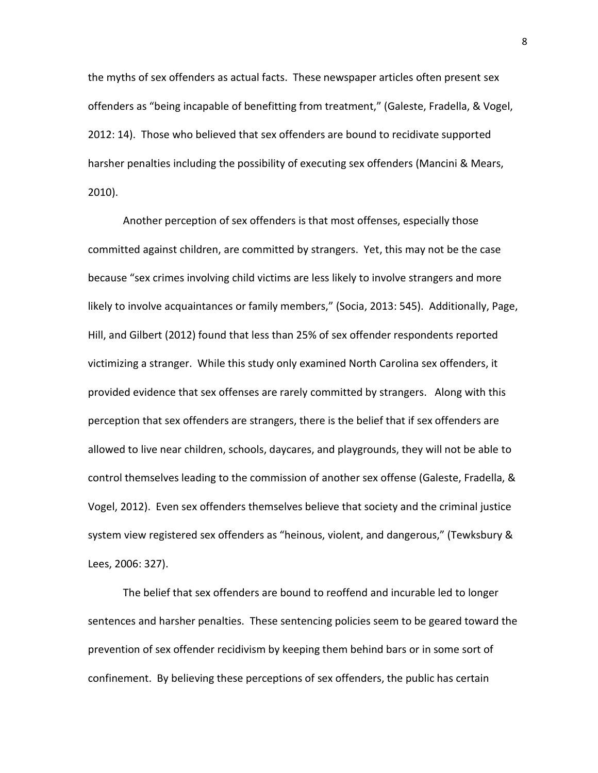the myths of sex offenders as actual facts. These newspaper articles often present sex offenders as "being incapable of benefitting from treatment," (Galeste, Fradella, & Vogel, 2012: 14). Those who believed that sex offenders are bound to recidivate supported harsher penalties including the possibility of executing sex offenders (Mancini & Mears, 2010).

Another perception of sex offenders is that most offenses, especially those committed against children, are committed by strangers. Yet, this may not be the case because "sex crimes involving child victims are less likely to involve strangers and more likely to involve acquaintances or family members," (Socia, 2013: 545). Additionally, Page, Hill, and Gilbert (2012) found that less than 25% of sex offender respondents reported victimizing a stranger. While this study only examined North Carolina sex offenders, it provided evidence that sex offenses are rarely committed by strangers. Along with this perception that sex offenders are strangers, there is the belief that if sex offenders are allowed to live near children, schools, daycares, and playgrounds, they will not be able to control themselves leading to the commission of another sex offense (Galeste, Fradella, & Vogel, 2012). Even sex offenders themselves believe that society and the criminal justice system view registered sex offenders as "heinous, violent, and dangerous," (Tewksbury & Lees, 2006: 327).

The belief that sex offenders are bound to reoffend and incurable led to longer sentences and harsher penalties. These sentencing policies seem to be geared toward the prevention of sex offender recidivism by keeping them behind bars or in some sort of confinement. By believing these perceptions of sex offenders, the public has certain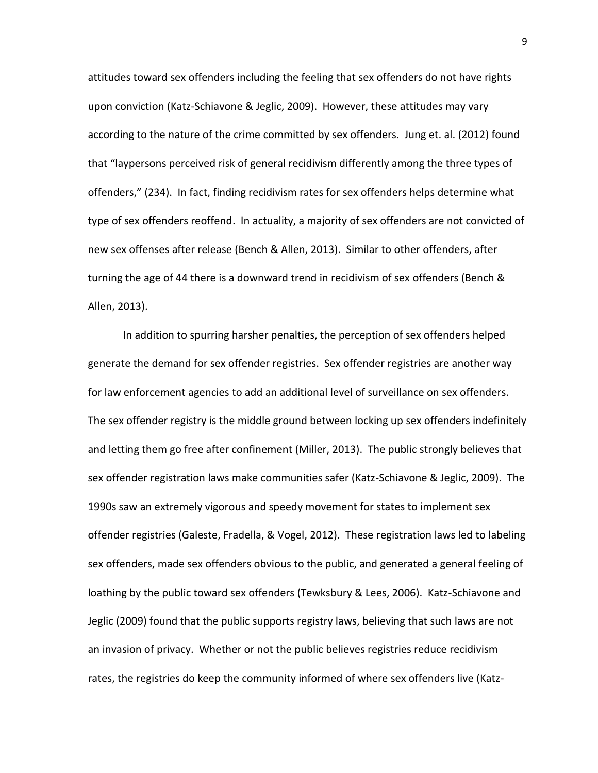attitudes toward sex offenders including the feeling that sex offenders do not have rights upon conviction (Katz-Schiavone & Jeglic, 2009). However, these attitudes may vary according to the nature of the crime committed by sex offenders. Jung et. al. (2012) found that "laypersons perceived risk of general recidivism differently among the three types of offenders," (234). In fact, finding recidivism rates for sex offenders helps determine what type of sex offenders reoffend. In actuality, a majority of sex offenders are not convicted of new sex offenses after release (Bench & Allen, 2013). Similar to other offenders, after turning the age of 44 there is a downward trend in recidivism of sex offenders (Bench & Allen, 2013).

In addition to spurring harsher penalties, the perception of sex offenders helped generate the demand for sex offender registries. Sex offender registries are another way for law enforcement agencies to add an additional level of surveillance on sex offenders. The sex offender registry is the middle ground between locking up sex offenders indefinitely and letting them go free after confinement (Miller, 2013). The public strongly believes that sex offender registration laws make communities safer (Katz-Schiavone & Jeglic, 2009). The 1990s saw an extremely vigorous and speedy movement for states to implement sex offender registries (Galeste, Fradella, & Vogel, 2012). These registration laws led to labeling sex offenders, made sex offenders obvious to the public, and generated a general feeling of loathing by the public toward sex offenders (Tewksbury & Lees, 2006). Katz-Schiavone and Jeglic (2009) found that the public supports registry laws, believing that such laws are not an invasion of privacy. Whether or not the public believes registries reduce recidivism rates, the registries do keep the community informed of where sex offenders live (Katz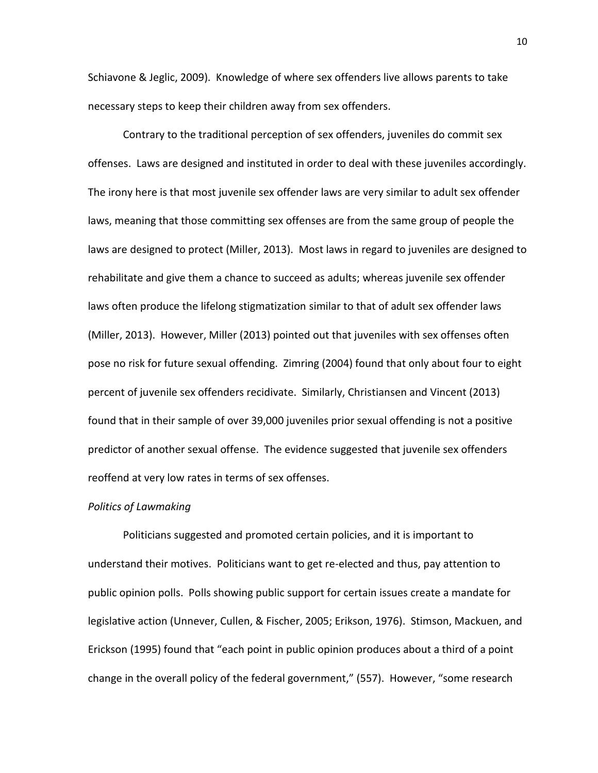Schiavone & Jeglic, 2009). Knowledge of where sex offenders live allows parents to take necessary steps to keep their children away from sex offenders.

Contrary to the traditional perception of sex offenders, juveniles do commit sex offenses. Laws are designed and instituted in order to deal with these juveniles accordingly. The irony here is that most juvenile sex offender laws are very similar to adult sex offender laws, meaning that those committing sex offenses are from the same group of people the laws are designed to protect (Miller, 2013). Most laws in regard to juveniles are designed to rehabilitate and give them a chance to succeed as adults; whereas juvenile sex offender laws often produce the lifelong stigmatization similar to that of adult sex offender laws (Miller, 2013). However, Miller (2013) pointed out that juveniles with sex offenses often pose no risk for future sexual offending. Zimring (2004) found that only about four to eight percent of juvenile sex offenders recidivate. Similarly, Christiansen and Vincent (2013) found that in their sample of over 39,000 juveniles prior sexual offending is not a positive predictor of another sexual offense. The evidence suggested that juvenile sex offenders reoffend at very low rates in terms of sex offenses.

#### *Politics of Lawmaking*

Politicians suggested and promoted certain policies, and it is important to understand their motives. Politicians want to get re-elected and thus, pay attention to public opinion polls. Polls showing public support for certain issues create a mandate for legislative action (Unnever, Cullen, & Fischer, 2005; Erikson, 1976). Stimson, Mackuen, and Erickson (1995) found that "each point in public opinion produces about a third of a point change in the overall policy of the federal government," (557). However, "some research

10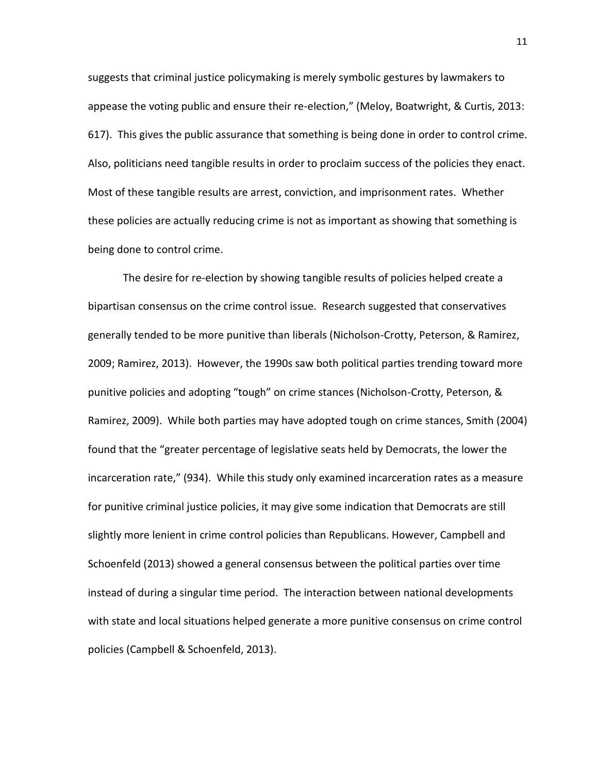suggests that criminal justice policymaking is merely symbolic gestures by lawmakers to appease the voting public and ensure their re-election," (Meloy, Boatwright, & Curtis, 2013: 617). This gives the public assurance that something is being done in order to control crime. Also, politicians need tangible results in order to proclaim success of the policies they enact. Most of these tangible results are arrest, conviction, and imprisonment rates. Whether these policies are actually reducing crime is not as important as showing that something is being done to control crime.

The desire for re-election by showing tangible results of policies helped create a bipartisan consensus on the crime control issue. Research suggested that conservatives generally tended to be more punitive than liberals (Nicholson-Crotty, Peterson, & Ramirez, 2009; Ramirez, 2013). However, the 1990s saw both political parties trending toward more punitive policies and adopting "tough" on crime stances (Nicholson-Crotty, Peterson, & Ramirez, 2009). While both parties may have adopted tough on crime stances, Smith (2004) found that the "greater percentage of legislative seats held by Democrats, the lower the incarceration rate," (934). While this study only examined incarceration rates as a measure for punitive criminal justice policies, it may give some indication that Democrats are still slightly more lenient in crime control policies than Republicans. However, Campbell and Schoenfeld (2013) showed a general consensus between the political parties over time instead of during a singular time period. The interaction between national developments with state and local situations helped generate a more punitive consensus on crime control policies (Campbell & Schoenfeld, 2013).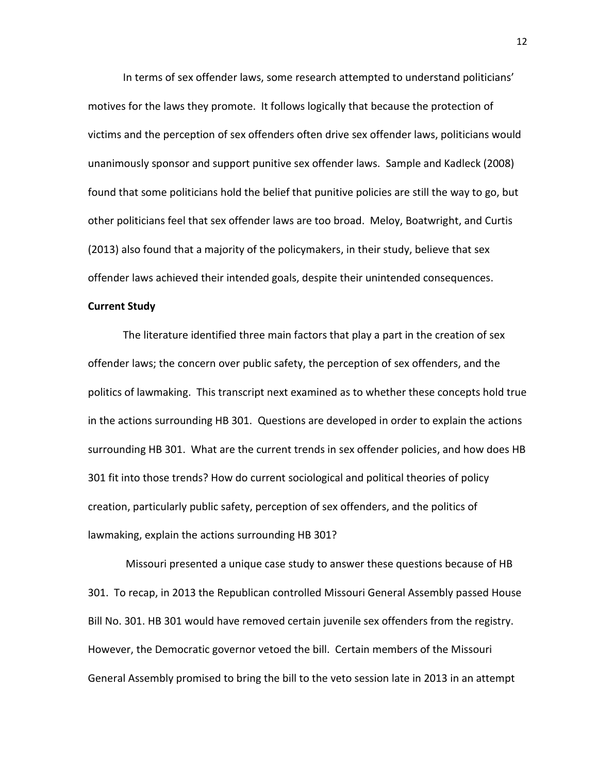In terms of sex offender laws, some research attempted to understand politicians' motives for the laws they promote. It follows logically that because the protection of victims and the perception of sex offenders often drive sex offender laws, politicians would unanimously sponsor and support punitive sex offender laws. Sample and Kadleck (2008) found that some politicians hold the belief that punitive policies are still the way to go, but other politicians feel that sex offender laws are too broad. Meloy, Boatwright, and Curtis (2013) also found that a majority of the policymakers, in their study, believe that sex offender laws achieved their intended goals, despite their unintended consequences.

#### **Current Study**

The literature identified three main factors that play a part in the creation of sex offender laws; the concern over public safety, the perception of sex offenders, and the politics of lawmaking. This transcript next examined as to whether these concepts hold true in the actions surrounding HB 301. Questions are developed in order to explain the actions surrounding HB 301. What are the current trends in sex offender policies, and how does HB 301 fit into those trends? How do current sociological and political theories of policy creation, particularly public safety, perception of sex offenders, and the politics of lawmaking, explain the actions surrounding HB 301?

Missouri presented a unique case study to answer these questions because of HB 301. To recap, in 2013 the Republican controlled Missouri General Assembly passed House Bill No. 301. HB 301 would have removed certain juvenile sex offenders from the registry. However, the Democratic governor vetoed the bill. Certain members of the Missouri General Assembly promised to bring the bill to the veto session late in 2013 in an attempt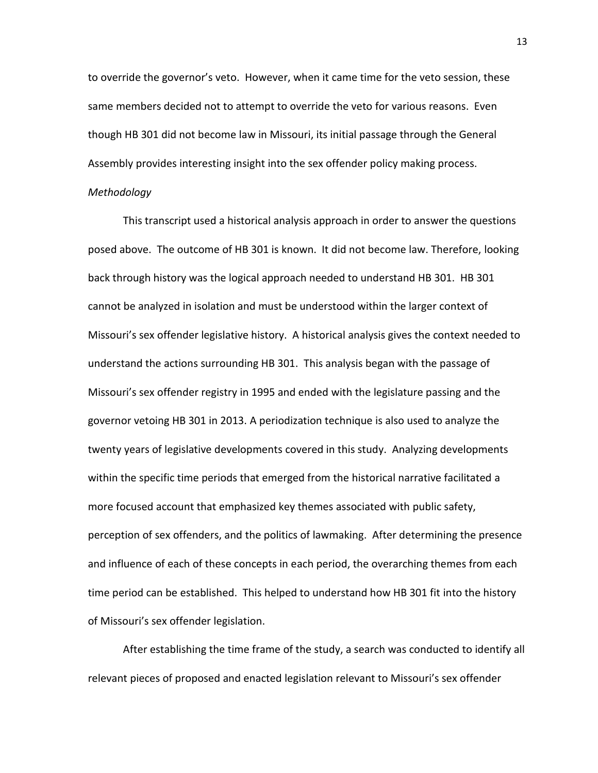to override the governor's veto. However, when it came time for the veto session, these same members decided not to attempt to override the veto for various reasons. Even though HB 301 did not become law in Missouri, its initial passage through the General Assembly provides interesting insight into the sex offender policy making process.

#### *Methodology*

This transcript used a historical analysis approach in order to answer the questions posed above. The outcome of HB 301 is known. It did not become law. Therefore, looking back through history was the logical approach needed to understand HB 301. HB 301 cannot be analyzed in isolation and must be understood within the larger context of Missouri's sex offender legislative history. A historical analysis gives the context needed to understand the actions surrounding HB 301. This analysis began with the passage of Missouri's sex offender registry in 1995 and ended with the legislature passing and the governor vetoing HB 301 in 2013. A periodization technique is also used to analyze the twenty years of legislative developments covered in this study. Analyzing developments within the specific time periods that emerged from the historical narrative facilitated a more focused account that emphasized key themes associated with public safety, perception of sex offenders, and the politics of lawmaking. After determining the presence and influence of each of these concepts in each period, the overarching themes from each time period can be established. This helped to understand how HB 301 fit into the history of Missouri's sex offender legislation.

After establishing the time frame of the study, a search was conducted to identify all relevant pieces of proposed and enacted legislation relevant to Missouri's sex offender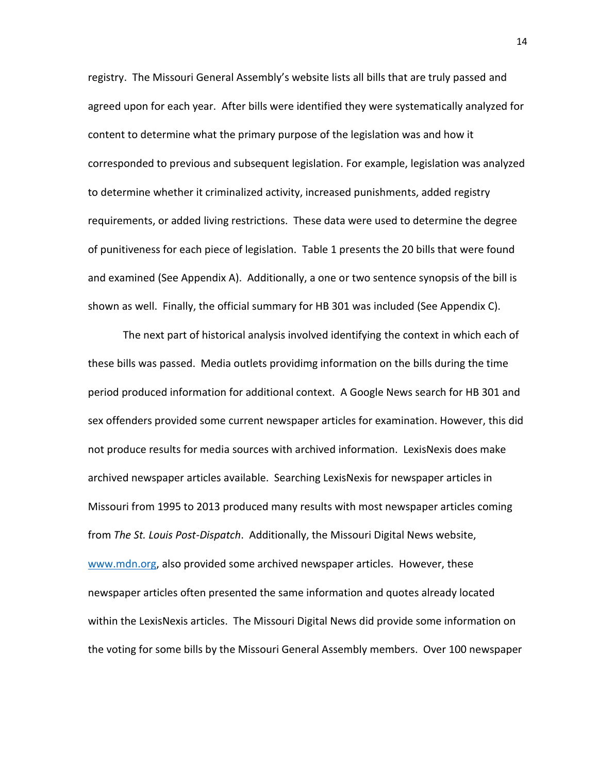registry. The Missouri General Assembly's website lists all bills that are truly passed and agreed upon for each year. After bills were identified they were systematically analyzed for content to determine what the primary purpose of the legislation was and how it corresponded to previous and subsequent legislation. For example, legislation was analyzed to determine whether it criminalized activity, increased punishments, added registry requirements, or added living restrictions. These data were used to determine the degree of punitiveness for each piece of legislation. Table 1 presents the 20 bills that were found and examined (See Appendix A). Additionally, a one or two sentence synopsis of the bill is shown as well. Finally, the official summary for HB 301 was included (See Appendix C).

The next part of historical analysis involved identifying the context in which each of these bills was passed. Media outlets providimg information on the bills during the time period produced information for additional context. A Google News search for HB 301 and sex offenders provided some current newspaper articles for examination. However, this did not produce results for media sources with archived information. LexisNexis does make archived newspaper articles available. Searching LexisNexis for newspaper articles in Missouri from 1995 to 2013 produced many results with most newspaper articles coming from *The St. Louis Post-Dispatch*. Additionally, the Missouri Digital News website, [www.mdn.org,](http://www.mdn.org/) also provided some archived newspaper articles. However, these newspaper articles often presented the same information and quotes already located within the LexisNexis articles. The Missouri Digital News did provide some information on the voting for some bills by the Missouri General Assembly members. Over 100 newspaper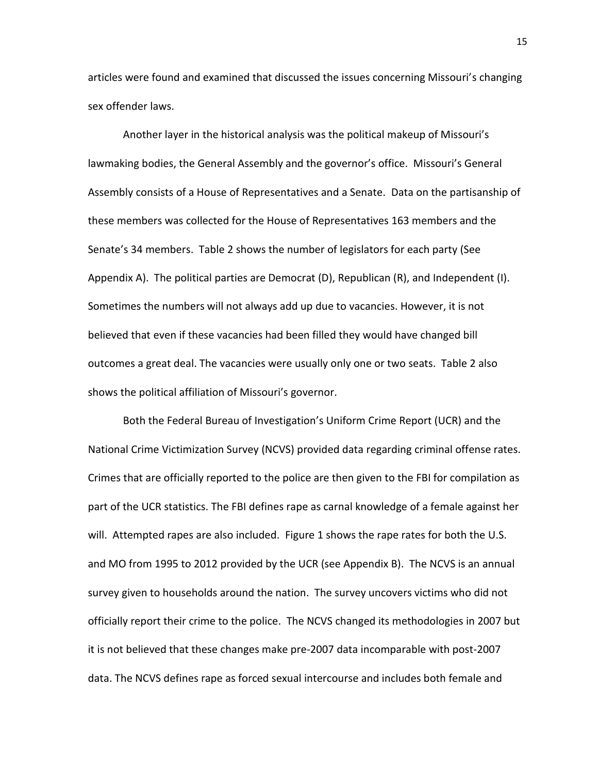articles were found and examined that discussed the issues concerning Missouri's changing sex offender laws.

Another layer in the historical analysis was the political makeup of Missouri's lawmaking bodies, the General Assembly and the governor's office. Missouri's General Assembly consists of a House of Representatives and a Senate. Data on the partisanship of these members was collected for the House of Representatives 163 members and the Senate's 34 members. Table 2 shows the number of legislators for each party (See Appendix A). The political parties are Democrat (D), Republican (R), and Independent (I). Sometimes the numbers will not always add up due to vacancies. However, it is not believed that even if these vacancies had been filled they would have changed bill outcomes a great deal. The vacancies were usually only one or two seats. Table 2 also shows the political affiliation of Missouri's governor.

Both the Federal Bureau of Investigation's Uniform Crime Report (UCR) and the National Crime Victimization Survey (NCVS) provided data regarding criminal offense rates. Crimes that are officially reported to the police are then given to the FBI for compilation as part of the UCR statistics. The FBI defines rape as carnal knowledge of a female against her will. Attempted rapes are also included. Figure 1 shows the rape rates for both the U.S. and MO from 1995 to 2012 provided by the UCR (see Appendix B). The NCVS is an annual survey given to households around the nation. The survey uncovers victims who did not officially report their crime to the police. The NCVS changed its methodologies in 2007 but it is not believed that these changes make pre-2007 data incomparable with post-2007 data. The NCVS defines rape as forced sexual intercourse and includes both female and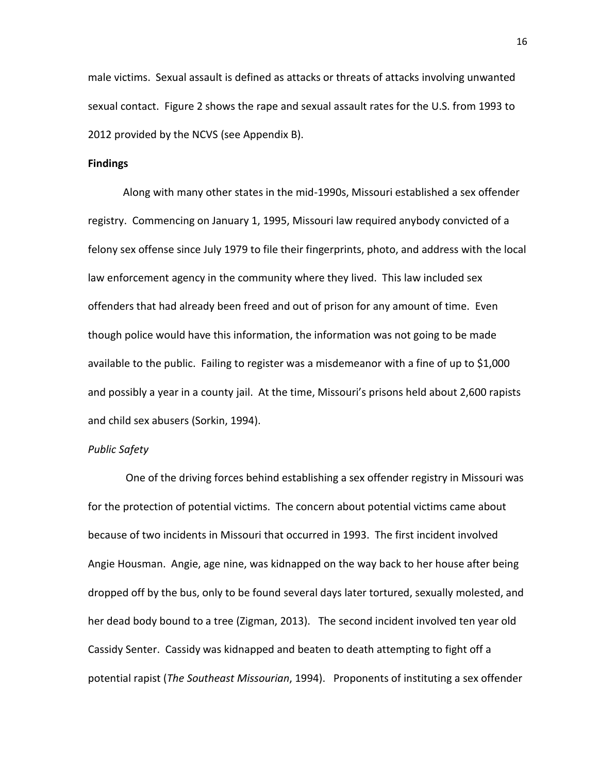male victims. Sexual assault is defined as attacks or threats of attacks involving unwanted sexual contact. Figure 2 shows the rape and sexual assault rates for the U.S. from 1993 to 2012 provided by the NCVS (see Appendix B).

#### **Findings**

Along with many other states in the mid-1990s, Missouri established a sex offender registry. Commencing on January 1, 1995, Missouri law required anybody convicted of a felony sex offense since July 1979 to file their fingerprints, photo, and address with the local law enforcement agency in the community where they lived. This law included sex offenders that had already been freed and out of prison for any amount of time. Even though police would have this information, the information was not going to be made available to the public. Failing to register was a misdemeanor with a fine of up to \$1,000 and possibly a year in a county jail. At the time, Missouri's prisons held about 2,600 rapists and child sex abusers (Sorkin, 1994).

#### *Public Safety*

One of the driving forces behind establishing a sex offender registry in Missouri was for the protection of potential victims. The concern about potential victims came about because of two incidents in Missouri that occurred in 1993. The first incident involved Angie Housman. Angie, age nine, was kidnapped on the way back to her house after being dropped off by the bus, only to be found several days later tortured, sexually molested, and her dead body bound to a tree (Zigman, 2013). The second incident involved ten year old Cassidy Senter. Cassidy was kidnapped and beaten to death attempting to fight off a potential rapist (*The Southeast Missourian*, 1994). Proponents of instituting a sex offender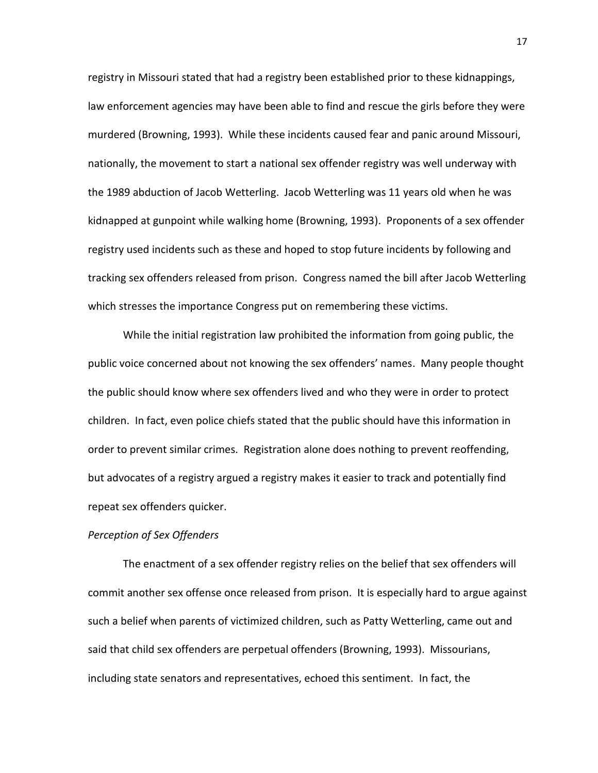registry in Missouri stated that had a registry been established prior to these kidnappings, law enforcement agencies may have been able to find and rescue the girls before they were murdered (Browning, 1993). While these incidents caused fear and panic around Missouri, nationally, the movement to start a national sex offender registry was well underway with the 1989 abduction of Jacob Wetterling. Jacob Wetterling was 11 years old when he was kidnapped at gunpoint while walking home (Browning, 1993). Proponents of a sex offender registry used incidents such as these and hoped to stop future incidents by following and tracking sex offenders released from prison. Congress named the bill after Jacob Wetterling which stresses the importance Congress put on remembering these victims.

While the initial registration law prohibited the information from going public, the public voice concerned about not knowing the sex offenders' names. Many people thought the public should know where sex offenders lived and who they were in order to protect children. In fact, even police chiefs stated that the public should have this information in order to prevent similar crimes. Registration alone does nothing to prevent reoffending, but advocates of a registry argued a registry makes it easier to track and potentially find repeat sex offenders quicker.

#### *Perception of Sex Offenders*

The enactment of a sex offender registry relies on the belief that sex offenders will commit another sex offense once released from prison. It is especially hard to argue against such a belief when parents of victimized children, such as Patty Wetterling, came out and said that child sex offenders are perpetual offenders (Browning, 1993). Missourians, including state senators and representatives, echoed this sentiment. In fact, the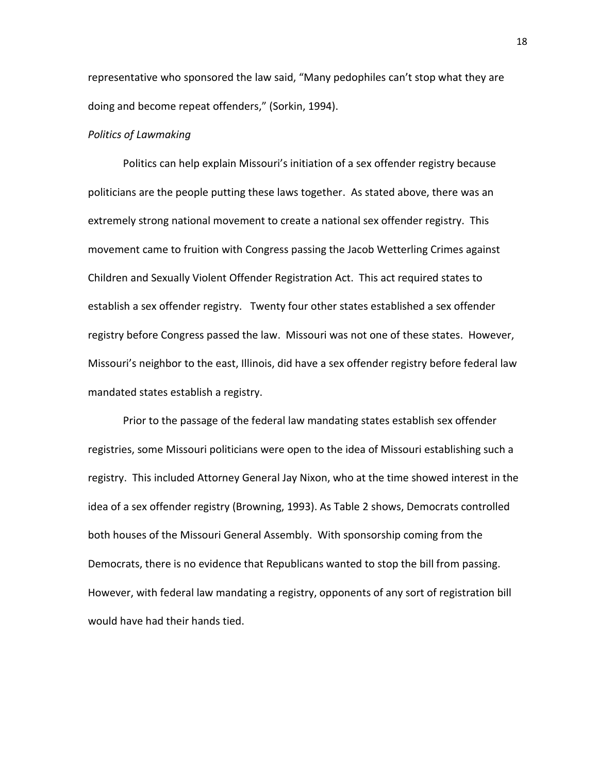representative who sponsored the law said, "Many pedophiles can't stop what they are doing and become repeat offenders," (Sorkin, 1994).

#### *Politics of Lawmaking*

Politics can help explain Missouri's initiation of a sex offender registry because politicians are the people putting these laws together. As stated above, there was an extremely strong national movement to create a national sex offender registry. This movement came to fruition with Congress passing the Jacob Wetterling Crimes against Children and Sexually Violent Offender Registration Act. This act required states to establish a sex offender registry. Twenty four other states established a sex offender registry before Congress passed the law. Missouri was not one of these states. However, Missouri's neighbor to the east, Illinois, did have a sex offender registry before federal law mandated states establish a registry.

Prior to the passage of the federal law mandating states establish sex offender registries, some Missouri politicians were open to the idea of Missouri establishing such a registry. This included Attorney General Jay Nixon, who at the time showed interest in the idea of a sex offender registry (Browning, 1993). As Table 2 shows, Democrats controlled both houses of the Missouri General Assembly. With sponsorship coming from the Democrats, there is no evidence that Republicans wanted to stop the bill from passing. However, with federal law mandating a registry, opponents of any sort of registration bill would have had their hands tied.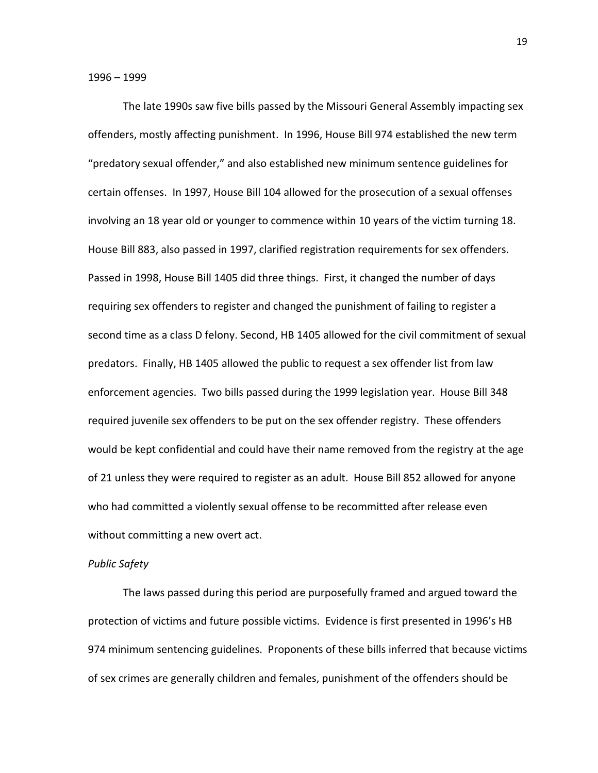The late 1990s saw five bills passed by the Missouri General Assembly impacting sex offenders, mostly affecting punishment. In 1996, House Bill 974 established the new term "predatory sexual offender," and also established new minimum sentence guidelines for certain offenses. In 1997, House Bill 104 allowed for the prosecution of a sexual offenses involving an 18 year old or younger to commence within 10 years of the victim turning 18. House Bill 883, also passed in 1997, clarified registration requirements for sex offenders. Passed in 1998, House Bill 1405 did three things. First, it changed the number of days requiring sex offenders to register and changed the punishment of failing to register a second time as a class D felony. Second, HB 1405 allowed for the civil commitment of sexual predators. Finally, HB 1405 allowed the public to request a sex offender list from law enforcement agencies. Two bills passed during the 1999 legislation year. House Bill 348 required juvenile sex offenders to be put on the sex offender registry. These offenders would be kept confidential and could have their name removed from the registry at the age of 21 unless they were required to register as an adult. House Bill 852 allowed for anyone who had committed a violently sexual offense to be recommitted after release even without committing a new overt act.

#### *Public Safety*

The laws passed during this period are purposefully framed and argued toward the protection of victims and future possible victims. Evidence is first presented in 1996's HB 974 minimum sentencing guidelines. Proponents of these bills inferred that because victims of sex crimes are generally children and females, punishment of the offenders should be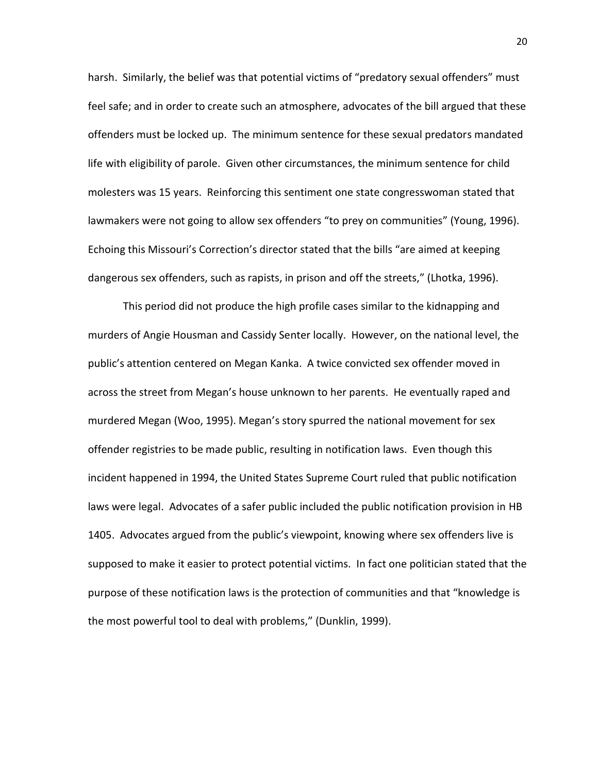harsh. Similarly, the belief was that potential victims of "predatory sexual offenders" must feel safe; and in order to create such an atmosphere, advocates of the bill argued that these offenders must be locked up. The minimum sentence for these sexual predators mandated life with eligibility of parole. Given other circumstances, the minimum sentence for child molesters was 15 years. Reinforcing this sentiment one state congresswoman stated that lawmakers were not going to allow sex offenders "to prey on communities" (Young, 1996). Echoing this Missouri's Correction's director stated that the bills "are aimed at keeping dangerous sex offenders, such as rapists, in prison and off the streets," (Lhotka, 1996).

This period did not produce the high profile cases similar to the kidnapping and murders of Angie Housman and Cassidy Senter locally. However, on the national level, the public's attention centered on Megan Kanka. A twice convicted sex offender moved in across the street from Megan's house unknown to her parents. He eventually raped and murdered Megan (Woo, 1995). Megan's story spurred the national movement for sex offender registries to be made public, resulting in notification laws. Even though this incident happened in 1994, the United States Supreme Court ruled that public notification laws were legal. Advocates of a safer public included the public notification provision in HB 1405. Advocates argued from the public's viewpoint, knowing where sex offenders live is supposed to make it easier to protect potential victims. In fact one politician stated that the purpose of these notification laws is the protection of communities and that "knowledge is the most powerful tool to deal with problems," (Dunklin, 1999).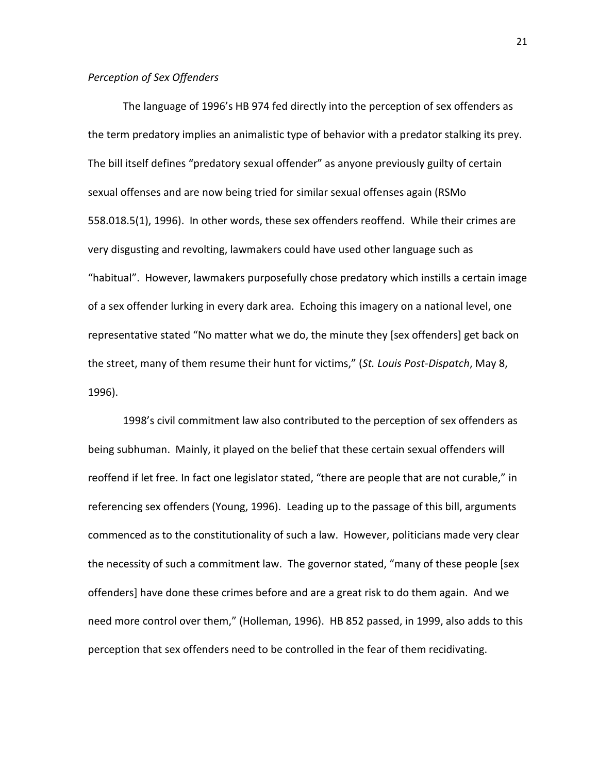#### *Perception of Sex Offenders*

The language of 1996's HB 974 fed directly into the perception of sex offenders as the term predatory implies an animalistic type of behavior with a predator stalking its prey. The bill itself defines "predatory sexual offender" as anyone previously guilty of certain sexual offenses and are now being tried for similar sexual offenses again (RSMo 558.018.5(1), 1996). In other words, these sex offenders reoffend. While their crimes are very disgusting and revolting, lawmakers could have used other language such as "habitual". However, lawmakers purposefully chose predatory which instills a certain image of a sex offender lurking in every dark area. Echoing this imagery on a national level, one representative stated "No matter what we do, the minute they [sex offenders] get back on the street, many of them resume their hunt for victims," (*St. Louis Post-Dispatch*, May 8, 1996).

1998's civil commitment law also contributed to the perception of sex offenders as being subhuman. Mainly, it played on the belief that these certain sexual offenders will reoffend if let free. In fact one legislator stated, "there are people that are not curable," in referencing sex offenders (Young, 1996). Leading up to the passage of this bill, arguments commenced as to the constitutionality of such a law. However, politicians made very clear the necessity of such a commitment law. The governor stated, "many of these people [sex offenders] have done these crimes before and are a great risk to do them again. And we need more control over them," (Holleman, 1996). HB 852 passed, in 1999, also adds to this perception that sex offenders need to be controlled in the fear of them recidivating.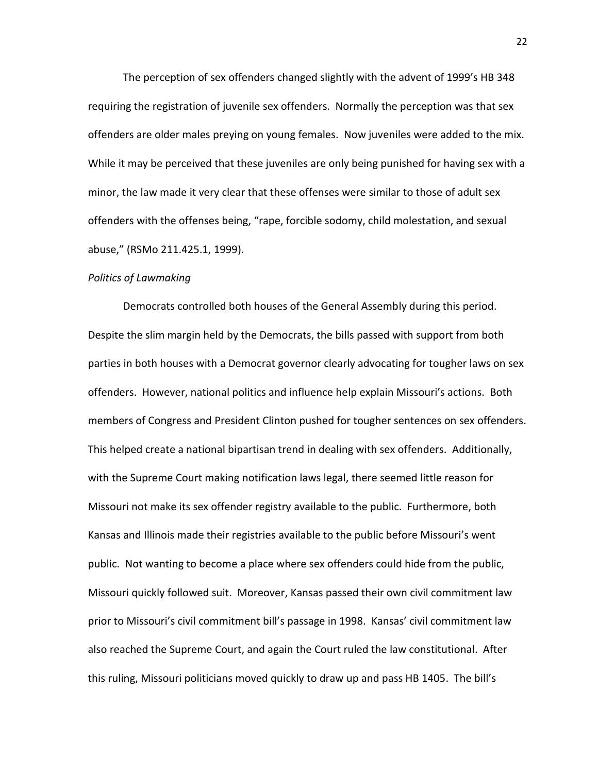The perception of sex offenders changed slightly with the advent of 1999's HB 348 requiring the registration of juvenile sex offenders. Normally the perception was that sex offenders are older males preying on young females. Now juveniles were added to the mix. While it may be perceived that these juveniles are only being punished for having sex with a minor, the law made it very clear that these offenses were similar to those of adult sex offenders with the offenses being, "rape, forcible sodomy, child molestation, and sexual abuse," (RSMo 211.425.1, 1999).

#### *Politics of Lawmaking*

Democrats controlled both houses of the General Assembly during this period. Despite the slim margin held by the Democrats, the bills passed with support from both parties in both houses with a Democrat governor clearly advocating for tougher laws on sex offenders. However, national politics and influence help explain Missouri's actions. Both members of Congress and President Clinton pushed for tougher sentences on sex offenders. This helped create a national bipartisan trend in dealing with sex offenders. Additionally, with the Supreme Court making notification laws legal, there seemed little reason for Missouri not make its sex offender registry available to the public. Furthermore, both Kansas and Illinois made their registries available to the public before Missouri's went public. Not wanting to become a place where sex offenders could hide from the public, Missouri quickly followed suit. Moreover, Kansas passed their own civil commitment law prior to Missouri's civil commitment bill's passage in 1998. Kansas' civil commitment law also reached the Supreme Court, and again the Court ruled the law constitutional. After this ruling, Missouri politicians moved quickly to draw up and pass HB 1405. The bill's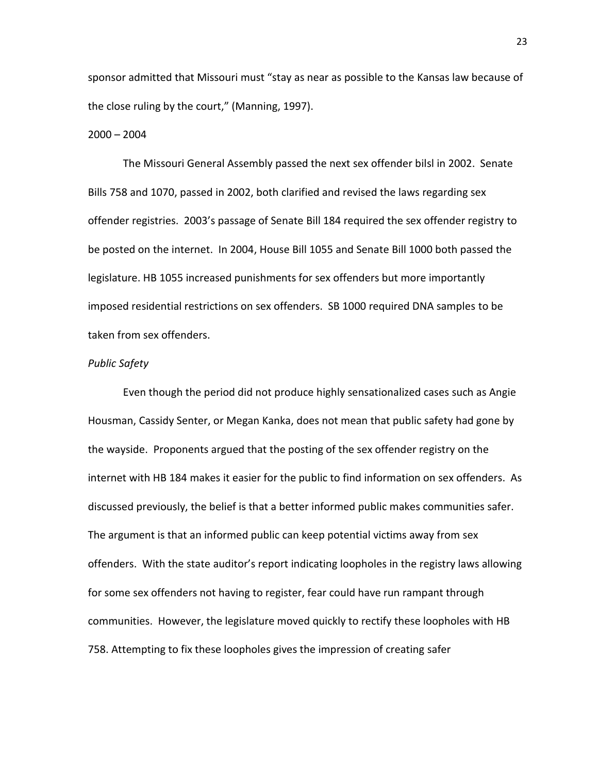sponsor admitted that Missouri must "stay as near as possible to the Kansas law because of the close ruling by the court," (Manning, 1997).

#### $2000 - 2004$

The Missouri General Assembly passed the next sex offender bilsl in 2002. Senate Bills 758 and 1070, passed in 2002, both clarified and revised the laws regarding sex offender registries. 2003's passage of Senate Bill 184 required the sex offender registry to be posted on the internet. In 2004, House Bill 1055 and Senate Bill 1000 both passed the legislature. HB 1055 increased punishments for sex offenders but more importantly imposed residential restrictions on sex offenders. SB 1000 required DNA samples to be taken from sex offenders.

#### *Public Safety*

Even though the period did not produce highly sensationalized cases such as Angie Housman, Cassidy Senter, or Megan Kanka, does not mean that public safety had gone by the wayside. Proponents argued that the posting of the sex offender registry on the internet with HB 184 makes it easier for the public to find information on sex offenders. As discussed previously, the belief is that a better informed public makes communities safer. The argument is that an informed public can keep potential victims away from sex offenders. With the state auditor's report indicating loopholes in the registry laws allowing for some sex offenders not having to register, fear could have run rampant through communities. However, the legislature moved quickly to rectify these loopholes with HB 758. Attempting to fix these loopholes gives the impression of creating safer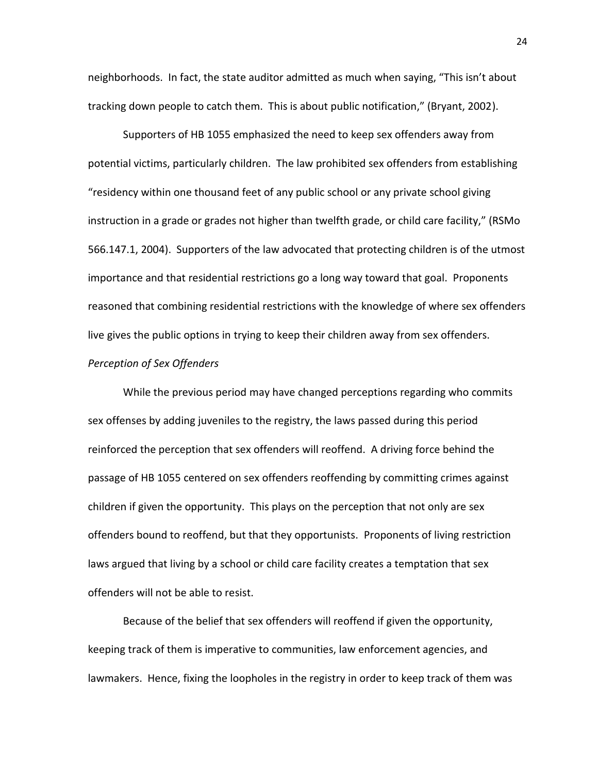neighborhoods. In fact, the state auditor admitted as much when saying, "This isn't about tracking down people to catch them. This is about public notification," (Bryant, 2002).

Supporters of HB 1055 emphasized the need to keep sex offenders away from potential victims, particularly children. The law prohibited sex offenders from establishing "residency within one thousand feet of any public school or any private school giving instruction in a grade or grades not higher than twelfth grade, or child care facility," (RSMo 566.147.1, 2004). Supporters of the law advocated that protecting children is of the utmost importance and that residential restrictions go a long way toward that goal. Proponents reasoned that combining residential restrictions with the knowledge of where sex offenders live gives the public options in trying to keep their children away from sex offenders.

#### *Perception of Sex Offenders*

While the previous period may have changed perceptions regarding who commits sex offenses by adding juveniles to the registry, the laws passed during this period reinforced the perception that sex offenders will reoffend. A driving force behind the passage of HB 1055 centered on sex offenders reoffending by committing crimes against children if given the opportunity. This plays on the perception that not only are sex offenders bound to reoffend, but that they opportunists. Proponents of living restriction laws argued that living by a school or child care facility creates a temptation that sex offenders will not be able to resist.

Because of the belief that sex offenders will reoffend if given the opportunity, keeping track of them is imperative to communities, law enforcement agencies, and lawmakers. Hence, fixing the loopholes in the registry in order to keep track of them was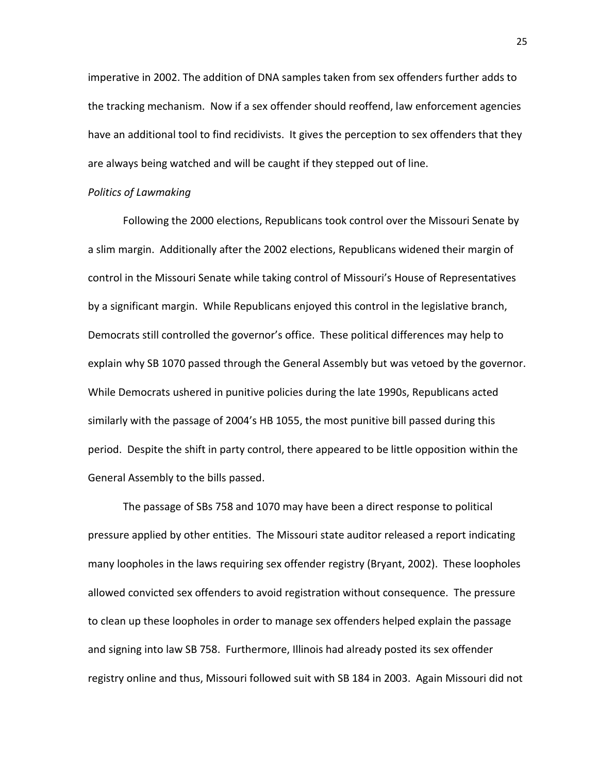imperative in 2002. The addition of DNA samples taken from sex offenders further adds to the tracking mechanism. Now if a sex offender should reoffend, law enforcement agencies have an additional tool to find recidivists. It gives the perception to sex offenders that they are always being watched and will be caught if they stepped out of line.

#### *Politics of Lawmaking*

Following the 2000 elections, Republicans took control over the Missouri Senate by a slim margin. Additionally after the 2002 elections, Republicans widened their margin of control in the Missouri Senate while taking control of Missouri's House of Representatives by a significant margin. While Republicans enjoyed this control in the legislative branch, Democrats still controlled the governor's office. These political differences may help to explain why SB 1070 passed through the General Assembly but was vetoed by the governor. While Democrats ushered in punitive policies during the late 1990s, Republicans acted similarly with the passage of 2004's HB 1055, the most punitive bill passed during this period. Despite the shift in party control, there appeared to be little opposition within the General Assembly to the bills passed.

The passage of SBs 758 and 1070 may have been a direct response to political pressure applied by other entities. The Missouri state auditor released a report indicating many loopholes in the laws requiring sex offender registry (Bryant, 2002). These loopholes allowed convicted sex offenders to avoid registration without consequence. The pressure to clean up these loopholes in order to manage sex offenders helped explain the passage and signing into law SB 758. Furthermore, Illinois had already posted its sex offender registry online and thus, Missouri followed suit with SB 184 in 2003. Again Missouri did not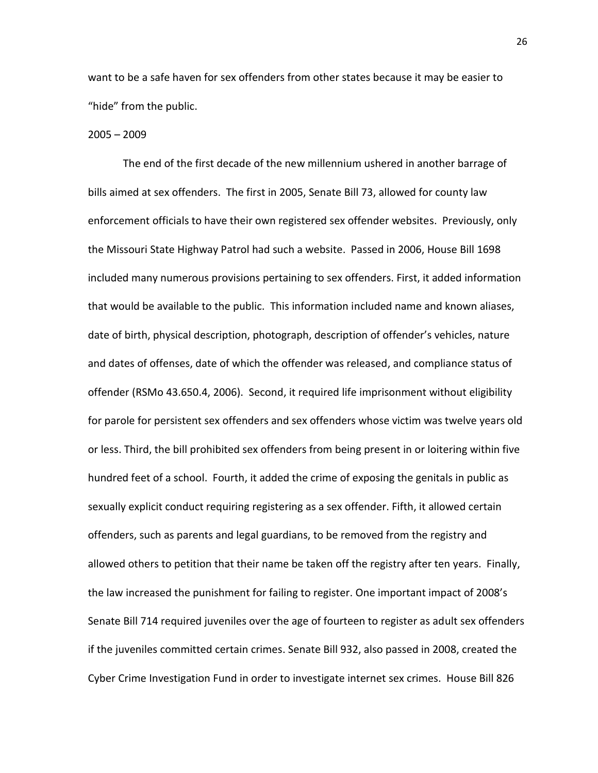want to be a safe haven for sex offenders from other states because it may be easier to "hide" from the public.

#### 2005 – 2009

The end of the first decade of the new millennium ushered in another barrage of bills aimed at sex offenders. The first in 2005, Senate Bill 73, allowed for county law enforcement officials to have their own registered sex offender websites. Previously, only the Missouri State Highway Patrol had such a website. Passed in 2006, House Bill 1698 included many numerous provisions pertaining to sex offenders. First, it added information that would be available to the public. This information included name and known aliases, date of birth, physical description, photograph, description of offender's vehicles, nature and dates of offenses, date of which the offender was released, and compliance status of offender (RSMo 43.650.4, 2006). Second, it required life imprisonment without eligibility for parole for persistent sex offenders and sex offenders whose victim was twelve years old or less. Third, the bill prohibited sex offenders from being present in or loitering within five hundred feet of a school. Fourth, it added the crime of exposing the genitals in public as sexually explicit conduct requiring registering as a sex offender. Fifth, it allowed certain offenders, such as parents and legal guardians, to be removed from the registry and allowed others to petition that their name be taken off the registry after ten years. Finally, the law increased the punishment for failing to register. One important impact of 2008's Senate Bill 714 required juveniles over the age of fourteen to register as adult sex offenders if the juveniles committed certain crimes. Senate Bill 932, also passed in 2008, created the Cyber Crime Investigation Fund in order to investigate internet sex crimes. House Bill 826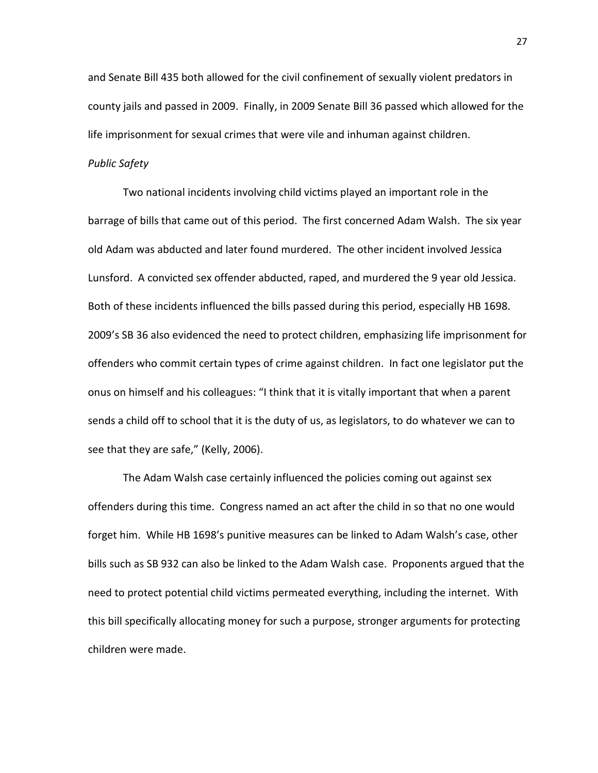and Senate Bill 435 both allowed for the civil confinement of sexually violent predators in county jails and passed in 2009. Finally, in 2009 Senate Bill 36 passed which allowed for the life imprisonment for sexual crimes that were vile and inhuman against children.

#### *Public Safety*

Two national incidents involving child victims played an important role in the barrage of bills that came out of this period. The first concerned Adam Walsh. The six year old Adam was abducted and later found murdered. The other incident involved Jessica Lunsford. A convicted sex offender abducted, raped, and murdered the 9 year old Jessica. Both of these incidents influenced the bills passed during this period, especially HB 1698. 2009's SB 36 also evidenced the need to protect children, emphasizing life imprisonment for offenders who commit certain types of crime against children. In fact one legislator put the onus on himself and his colleagues: "I think that it is vitally important that when a parent sends a child off to school that it is the duty of us, as legislators, to do whatever we can to see that they are safe," (Kelly, 2006).

The Adam Walsh case certainly influenced the policies coming out against sex offenders during this time. Congress named an act after the child in so that no one would forget him. While HB 1698's punitive measures can be linked to Adam Walsh's case, other bills such as SB 932 can also be linked to the Adam Walsh case. Proponents argued that the need to protect potential child victims permeated everything, including the internet. With this bill specifically allocating money for such a purpose, stronger arguments for protecting children were made.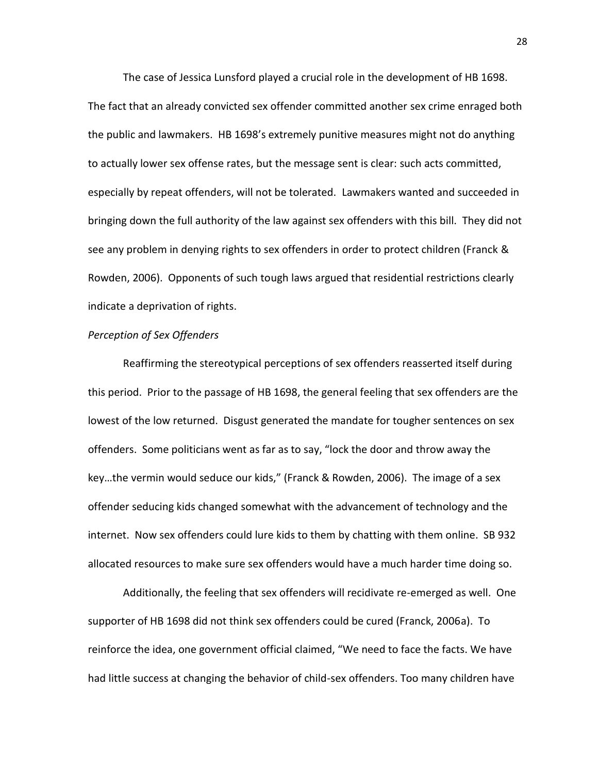The case of Jessica Lunsford played a crucial role in the development of HB 1698. The fact that an already convicted sex offender committed another sex crime enraged both the public and lawmakers. HB 1698's extremely punitive measures might not do anything to actually lower sex offense rates, but the message sent is clear: such acts committed, especially by repeat offenders, will not be tolerated. Lawmakers wanted and succeeded in bringing down the full authority of the law against sex offenders with this bill. They did not see any problem in denying rights to sex offenders in order to protect children (Franck & Rowden, 2006). Opponents of such tough laws argued that residential restrictions clearly indicate a deprivation of rights.

#### *Perception of Sex Offenders*

Reaffirming the stereotypical perceptions of sex offenders reasserted itself during this period. Prior to the passage of HB 1698, the general feeling that sex offenders are the lowest of the low returned. Disgust generated the mandate for tougher sentences on sex offenders. Some politicians went as far as to say, "lock the door and throw away the key…the vermin would seduce our kids," (Franck & Rowden, 2006). The image of a sex offender seducing kids changed somewhat with the advancement of technology and the internet. Now sex offenders could lure kids to them by chatting with them online. SB 932 allocated resources to make sure sex offenders would have a much harder time doing so.

Additionally, the feeling that sex offenders will recidivate re-emerged as well. One supporter of HB 1698 did not think sex offenders could be cured (Franck, 2006a). To reinforce the idea, one government official claimed, "We need to face the facts. We have had little success at changing the behavior of child-sex offenders. Too many children have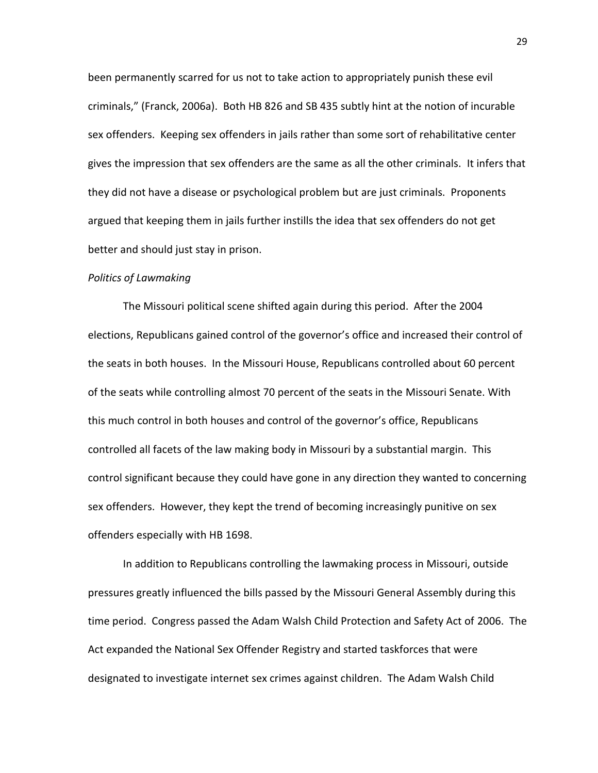been permanently scarred for us not to take action to appropriately punish these evil criminals," (Franck, 2006a). Both HB 826 and SB 435 subtly hint at the notion of incurable sex offenders. Keeping sex offenders in jails rather than some sort of rehabilitative center gives the impression that sex offenders are the same as all the other criminals. It infers that they did not have a disease or psychological problem but are just criminals. Proponents argued that keeping them in jails further instills the idea that sex offenders do not get better and should just stay in prison.

#### *Politics of Lawmaking*

The Missouri political scene shifted again during this period. After the 2004 elections, Republicans gained control of the governor's office and increased their control of the seats in both houses. In the Missouri House, Republicans controlled about 60 percent of the seats while controlling almost 70 percent of the seats in the Missouri Senate. With this much control in both houses and control of the governor's office, Republicans controlled all facets of the law making body in Missouri by a substantial margin. This control significant because they could have gone in any direction they wanted to concerning sex offenders. However, they kept the trend of becoming increasingly punitive on sex offenders especially with HB 1698.

In addition to Republicans controlling the lawmaking process in Missouri, outside pressures greatly influenced the bills passed by the Missouri General Assembly during this time period. Congress passed the Adam Walsh Child Protection and Safety Act of 2006. The Act expanded the National Sex Offender Registry and started taskforces that were designated to investigate internet sex crimes against children. The Adam Walsh Child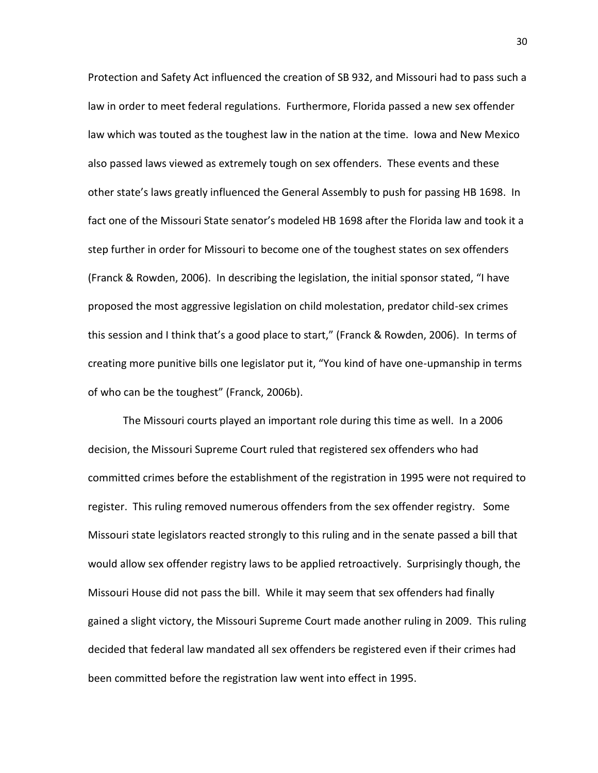Protection and Safety Act influenced the creation of SB 932, and Missouri had to pass such a law in order to meet federal regulations. Furthermore, Florida passed a new sex offender law which was touted as the toughest law in the nation at the time. Iowa and New Mexico also passed laws viewed as extremely tough on sex offenders. These events and these other state's laws greatly influenced the General Assembly to push for passing HB 1698. In fact one of the Missouri State senator's modeled HB 1698 after the Florida law and took it a step further in order for Missouri to become one of the toughest states on sex offenders (Franck & Rowden, 2006). In describing the legislation, the initial sponsor stated, "I have proposed the most aggressive legislation on child molestation, predator child-sex crimes this session and I think that's a good place to start," (Franck & Rowden, 2006). In terms of creating more punitive bills one legislator put it, "You kind of have one-upmanship in terms of who can be the toughest" (Franck, 2006b).

The Missouri courts played an important role during this time as well. In a 2006 decision, the Missouri Supreme Court ruled that registered sex offenders who had committed crimes before the establishment of the registration in 1995 were not required to register. This ruling removed numerous offenders from the sex offender registry. Some Missouri state legislators reacted strongly to this ruling and in the senate passed a bill that would allow sex offender registry laws to be applied retroactively. Surprisingly though, the Missouri House did not pass the bill. While it may seem that sex offenders had finally gained a slight victory, the Missouri Supreme Court made another ruling in 2009. This ruling decided that federal law mandated all sex offenders be registered even if their crimes had been committed before the registration law went into effect in 1995.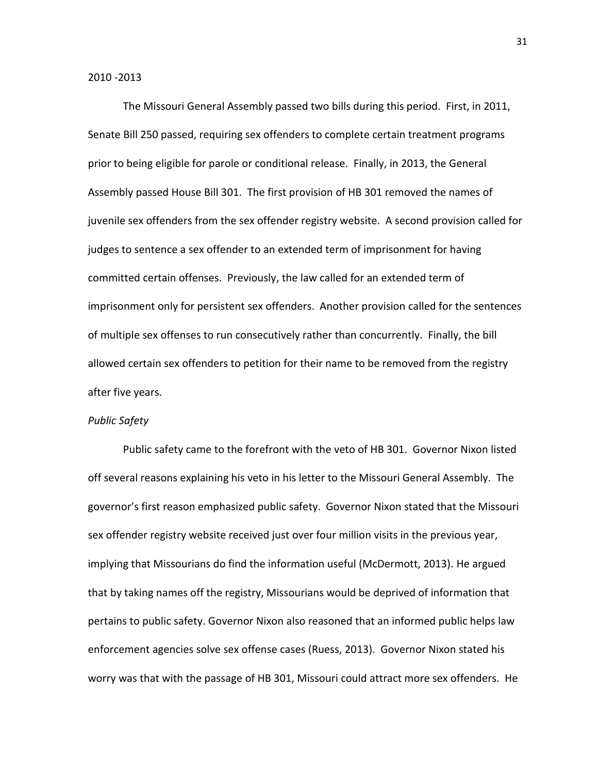#### 2010 -2013

The Missouri General Assembly passed two bills during this period. First, in 2011, Senate Bill 250 passed, requiring sex offenders to complete certain treatment programs prior to being eligible for parole or conditional release. Finally, in 2013, the General Assembly passed House Bill 301. The first provision of HB 301 removed the names of juvenile sex offenders from the sex offender registry website. A second provision called for judges to sentence a sex offender to an extended term of imprisonment for having committed certain offenses. Previously, the law called for an extended term of imprisonment only for persistent sex offenders. Another provision called for the sentences of multiple sex offenses to run consecutively rather than concurrently. Finally, the bill allowed certain sex offenders to petition for their name to be removed from the registry after five years.

#### *Public Safety*

Public safety came to the forefront with the veto of HB 301. Governor Nixon listed off several reasons explaining his veto in his letter to the Missouri General Assembly. The governor's first reason emphasized public safety. Governor Nixon stated that the Missouri sex offender registry website received just over four million visits in the previous year, implying that Missourians do find the information useful (McDermott, 2013). He argued that by taking names off the registry, Missourians would be deprived of information that pertains to public safety. Governor Nixon also reasoned that an informed public helps law enforcement agencies solve sex offense cases (Ruess, 2013). Governor Nixon stated his worry was that with the passage of HB 301, Missouri could attract more sex offenders. He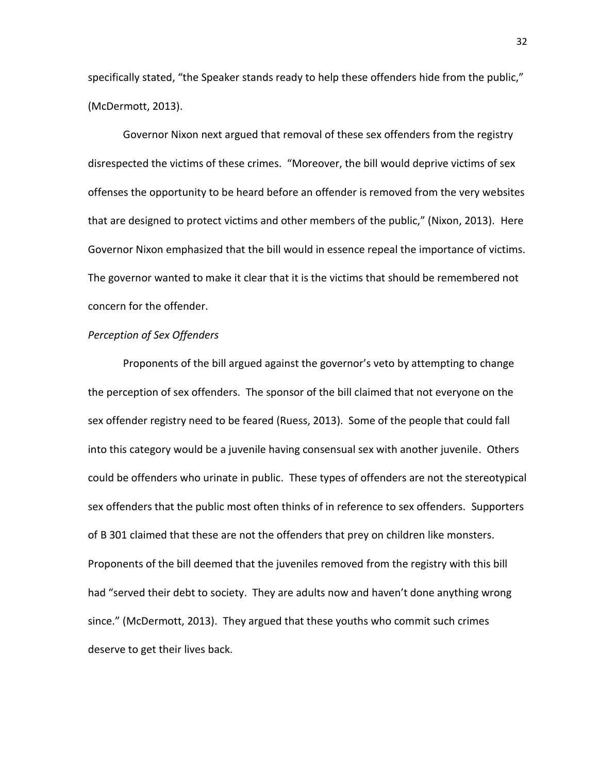specifically stated, "the Speaker stands ready to help these offenders hide from the public," (McDermott, 2013).

Governor Nixon next argued that removal of these sex offenders from the registry disrespected the victims of these crimes. "Moreover, the bill would deprive victims of sex offenses the opportunity to be heard before an offender is removed from the very websites that are designed to protect victims and other members of the public," (Nixon, 2013). Here Governor Nixon emphasized that the bill would in essence repeal the importance of victims. The governor wanted to make it clear that it is the victims that should be remembered not concern for the offender.

#### *Perception of Sex Offenders*

Proponents of the bill argued against the governor's veto by attempting to change the perception of sex offenders. The sponsor of the bill claimed that not everyone on the sex offender registry need to be feared (Ruess, 2013). Some of the people that could fall into this category would be a juvenile having consensual sex with another juvenile. Others could be offenders who urinate in public. These types of offenders are not the stereotypical sex offenders that the public most often thinks of in reference to sex offenders. Supporters of B 301 claimed that these are not the offenders that prey on children like monsters. Proponents of the bill deemed that the juveniles removed from the registry with this bill had "served their debt to society. They are adults now and haven't done anything wrong since." (McDermott, 2013). They argued that these youths who commit such crimes deserve to get their lives back.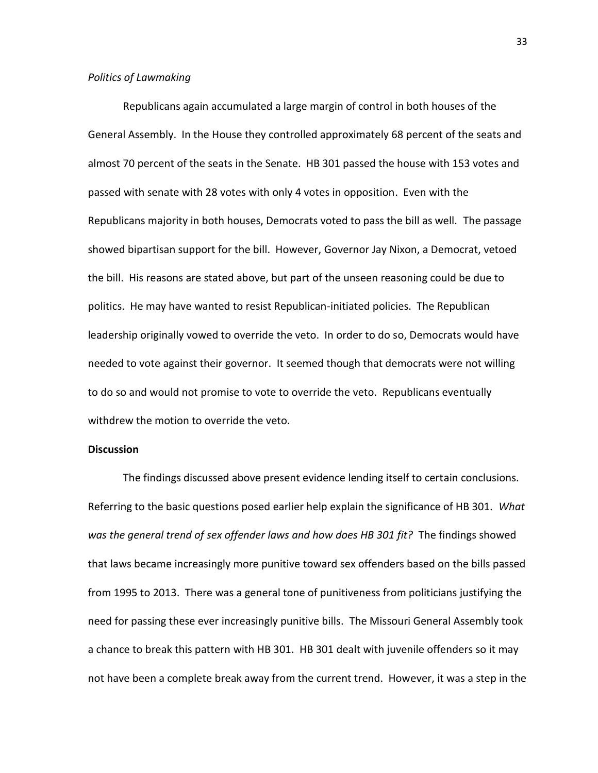#### *Politics of Lawmaking*

Republicans again accumulated a large margin of control in both houses of the General Assembly. In the House they controlled approximately 68 percent of the seats and almost 70 percent of the seats in the Senate. HB 301 passed the house with 153 votes and passed with senate with 28 votes with only 4 votes in opposition. Even with the Republicans majority in both houses, Democrats voted to pass the bill as well. The passage showed bipartisan support for the bill. However, Governor Jay Nixon, a Democrat, vetoed the bill. His reasons are stated above, but part of the unseen reasoning could be due to politics. He may have wanted to resist Republican-initiated policies. The Republican leadership originally vowed to override the veto. In order to do so, Democrats would have needed to vote against their governor. It seemed though that democrats were not willing to do so and would not promise to vote to override the veto. Republicans eventually withdrew the motion to override the veto.

#### **Discussion**

The findings discussed above present evidence lending itself to certain conclusions. Referring to the basic questions posed earlier help explain the significance of HB 301. *What was the general trend of sex offender laws and how does HB 301 fit?* The findings showed that laws became increasingly more punitive toward sex offenders based on the bills passed from 1995 to 2013. There was a general tone of punitiveness from politicians justifying the need for passing these ever increasingly punitive bills. The Missouri General Assembly took a chance to break this pattern with HB 301. HB 301 dealt with juvenile offenders so it may not have been a complete break away from the current trend. However, it was a step in the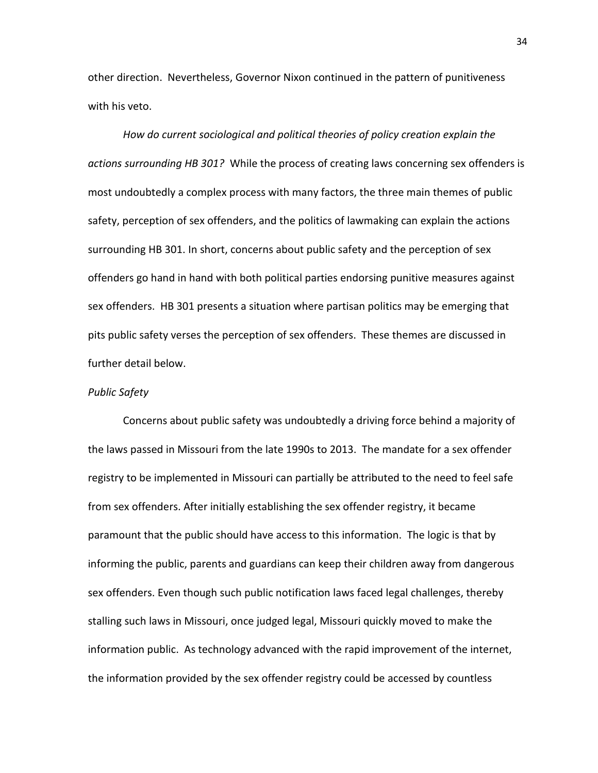other direction. Nevertheless, Governor Nixon continued in the pattern of punitiveness with his veto.

*How do current sociological and political theories of policy creation explain the actions surrounding HB 301?* While the process of creating laws concerning sex offenders is most undoubtedly a complex process with many factors, the three main themes of public safety, perception of sex offenders, and the politics of lawmaking can explain the actions surrounding HB 301. In short, concerns about public safety and the perception of sex offenders go hand in hand with both political parties endorsing punitive measures against sex offenders. HB 301 presents a situation where partisan politics may be emerging that pits public safety verses the perception of sex offenders. These themes are discussed in further detail below.

#### *Public Safety*

Concerns about public safety was undoubtedly a driving force behind a majority of the laws passed in Missouri from the late 1990s to 2013. The mandate for a sex offender registry to be implemented in Missouri can partially be attributed to the need to feel safe from sex offenders. After initially establishing the sex offender registry, it became paramount that the public should have access to this information. The logic is that by informing the public, parents and guardians can keep their children away from dangerous sex offenders. Even though such public notification laws faced legal challenges, thereby stalling such laws in Missouri, once judged legal, Missouri quickly moved to make the information public. As technology advanced with the rapid improvement of the internet, the information provided by the sex offender registry could be accessed by countless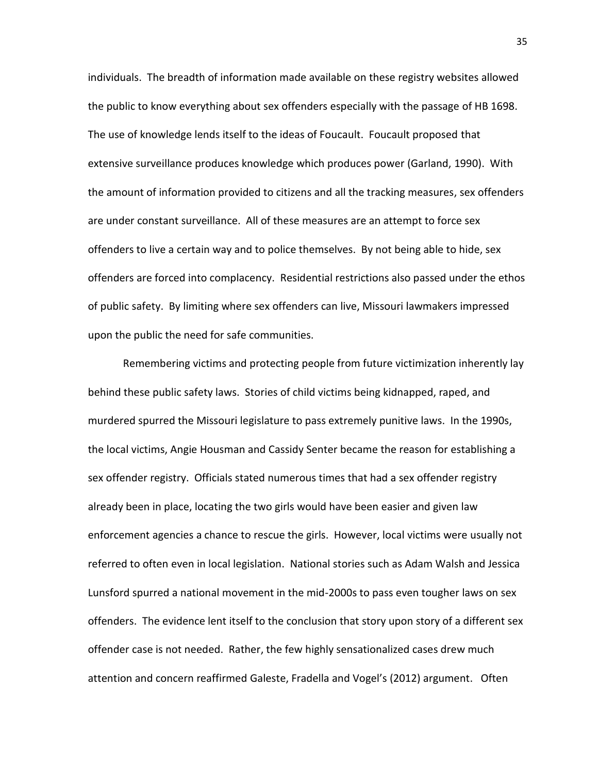individuals. The breadth of information made available on these registry websites allowed the public to know everything about sex offenders especially with the passage of HB 1698. The use of knowledge lends itself to the ideas of Foucault. Foucault proposed that extensive surveillance produces knowledge which produces power (Garland, 1990). With the amount of information provided to citizens and all the tracking measures, sex offenders are under constant surveillance. All of these measures are an attempt to force sex offenders to live a certain way and to police themselves. By not being able to hide, sex offenders are forced into complacency. Residential restrictions also passed under the ethos of public safety. By limiting where sex offenders can live, Missouri lawmakers impressed upon the public the need for safe communities.

Remembering victims and protecting people from future victimization inherently lay behind these public safety laws. Stories of child victims being kidnapped, raped, and murdered spurred the Missouri legislature to pass extremely punitive laws. In the 1990s, the local victims, Angie Housman and Cassidy Senter became the reason for establishing a sex offender registry. Officials stated numerous times that had a sex offender registry already been in place, locating the two girls would have been easier and given law enforcement agencies a chance to rescue the girls. However, local victims were usually not referred to often even in local legislation. National stories such as Adam Walsh and Jessica Lunsford spurred a national movement in the mid-2000s to pass even tougher laws on sex offenders. The evidence lent itself to the conclusion that story upon story of a different sex offender case is not needed. Rather, the few highly sensationalized cases drew much attention and concern reaffirmed Galeste, Fradella and Vogel's (2012) argument. Often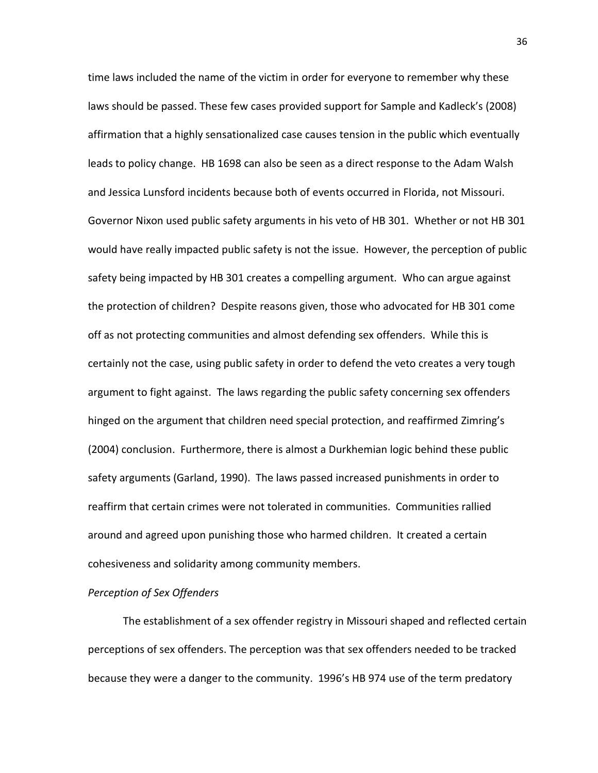time laws included the name of the victim in order for everyone to remember why these laws should be passed. These few cases provided support for Sample and Kadleck's (2008) affirmation that a highly sensationalized case causes tension in the public which eventually leads to policy change. HB 1698 can also be seen as a direct response to the Adam Walsh and Jessica Lunsford incidents because both of events occurred in Florida, not Missouri. Governor Nixon used public safety arguments in his veto of HB 301. Whether or not HB 301 would have really impacted public safety is not the issue. However, the perception of public safety being impacted by HB 301 creates a compelling argument. Who can argue against the protection of children? Despite reasons given, those who advocated for HB 301 come off as not protecting communities and almost defending sex offenders. While this is certainly not the case, using public safety in order to defend the veto creates a very tough argument to fight against. The laws regarding the public safety concerning sex offenders hinged on the argument that children need special protection, and reaffirmed Zimring's (2004) conclusion. Furthermore, there is almost a Durkhemian logic behind these public safety arguments (Garland, 1990). The laws passed increased punishments in order to reaffirm that certain crimes were not tolerated in communities. Communities rallied around and agreed upon punishing those who harmed children. It created a certain cohesiveness and solidarity among community members.

#### *Perception of Sex Offenders*

The establishment of a sex offender registry in Missouri shaped and reflected certain perceptions of sex offenders. The perception was that sex offenders needed to be tracked because they were a danger to the community. 1996's HB 974 use of the term predatory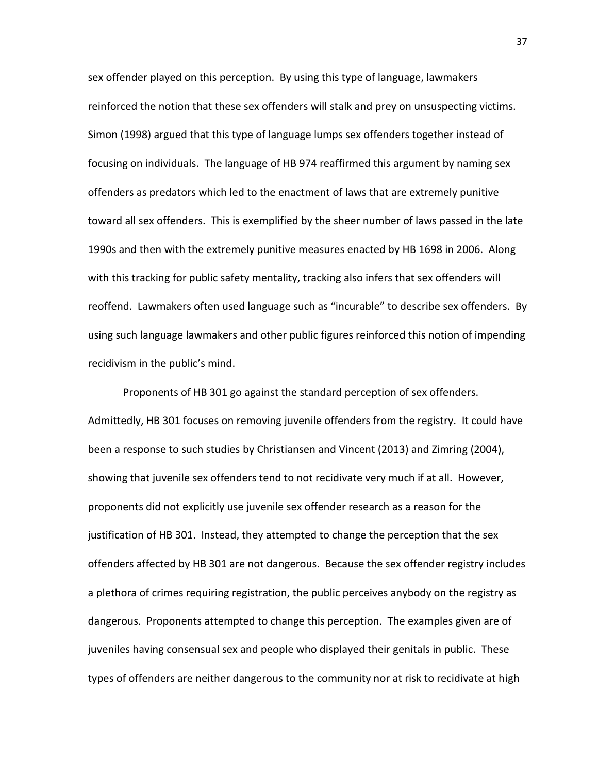sex offender played on this perception. By using this type of language, lawmakers reinforced the notion that these sex offenders will stalk and prey on unsuspecting victims. Simon (1998) argued that this type of language lumps sex offenders together instead of focusing on individuals. The language of HB 974 reaffirmed this argument by naming sex offenders as predators which led to the enactment of laws that are extremely punitive toward all sex offenders. This is exemplified by the sheer number of laws passed in the late 1990s and then with the extremely punitive measures enacted by HB 1698 in 2006. Along with this tracking for public safety mentality, tracking also infers that sex offenders will reoffend. Lawmakers often used language such as "incurable" to describe sex offenders. By using such language lawmakers and other public figures reinforced this notion of impending recidivism in the public's mind.

Proponents of HB 301 go against the standard perception of sex offenders. Admittedly, HB 301 focuses on removing juvenile offenders from the registry. It could have been a response to such studies by Christiansen and Vincent (2013) and Zimring (2004), showing that juvenile sex offenders tend to not recidivate very much if at all. However, proponents did not explicitly use juvenile sex offender research as a reason for the justification of HB 301. Instead, they attempted to change the perception that the sex offenders affected by HB 301 are not dangerous. Because the sex offender registry includes a plethora of crimes requiring registration, the public perceives anybody on the registry as dangerous. Proponents attempted to change this perception. The examples given are of juveniles having consensual sex and people who displayed their genitals in public. These types of offenders are neither dangerous to the community nor at risk to recidivate at high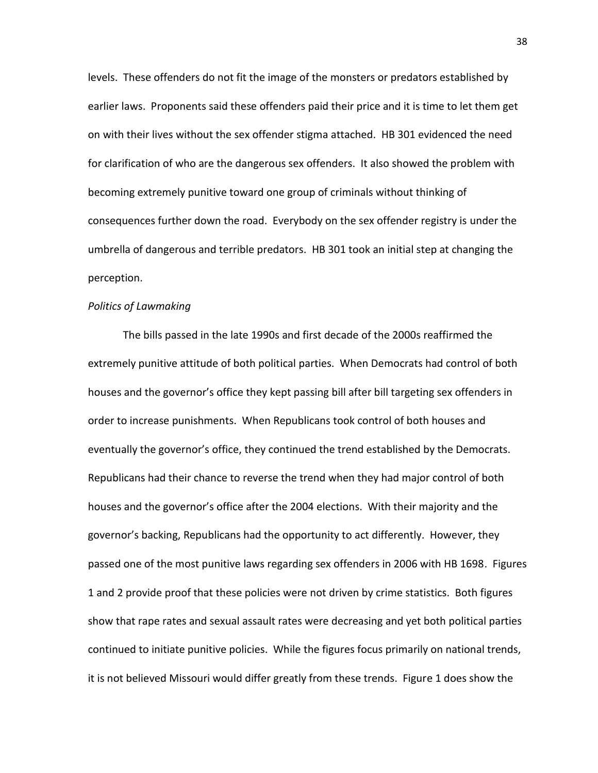levels. These offenders do not fit the image of the monsters or predators established by earlier laws. Proponents said these offenders paid their price and it is time to let them get on with their lives without the sex offender stigma attached. HB 301 evidenced the need for clarification of who are the dangerous sex offenders. It also showed the problem with becoming extremely punitive toward one group of criminals without thinking of consequences further down the road. Everybody on the sex offender registry is under the umbrella of dangerous and terrible predators. HB 301 took an initial step at changing the perception.

#### *Politics of Lawmaking*

The bills passed in the late 1990s and first decade of the 2000s reaffirmed the extremely punitive attitude of both political parties. When Democrats had control of both houses and the governor's office they kept passing bill after bill targeting sex offenders in order to increase punishments. When Republicans took control of both houses and eventually the governor's office, they continued the trend established by the Democrats. Republicans had their chance to reverse the trend when they had major control of both houses and the governor's office after the 2004 elections. With their majority and the governor's backing, Republicans had the opportunity to act differently. However, they passed one of the most punitive laws regarding sex offenders in 2006 with HB 1698. Figures 1 and 2 provide proof that these policies were not driven by crime statistics. Both figures show that rape rates and sexual assault rates were decreasing and yet both political parties continued to initiate punitive policies. While the figures focus primarily on national trends, it is not believed Missouri would differ greatly from these trends. Figure 1 does show the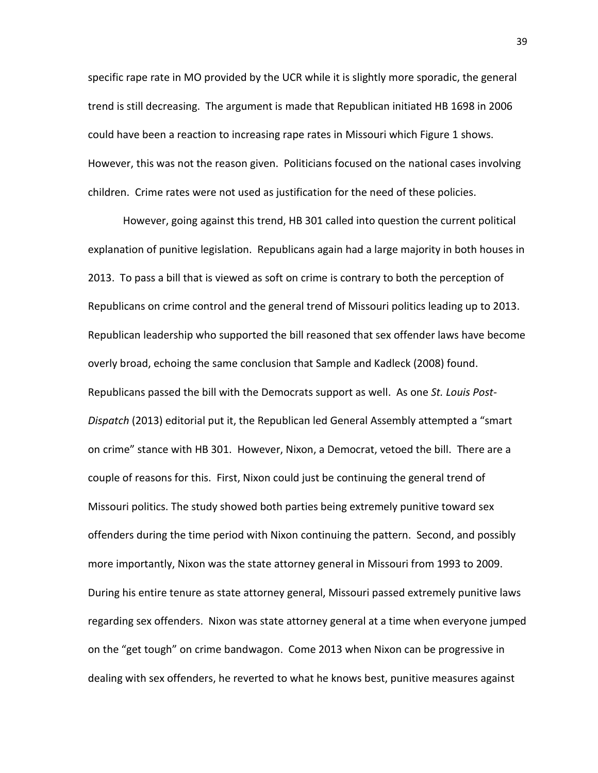specific rape rate in MO provided by the UCR while it is slightly more sporadic, the general trend is still decreasing. The argument is made that Republican initiated HB 1698 in 2006 could have been a reaction to increasing rape rates in Missouri which Figure 1 shows. However, this was not the reason given. Politicians focused on the national cases involving children. Crime rates were not used as justification for the need of these policies.

However, going against this trend, HB 301 called into question the current political explanation of punitive legislation. Republicans again had a large majority in both houses in 2013. To pass a bill that is viewed as soft on crime is contrary to both the perception of Republicans on crime control and the general trend of Missouri politics leading up to 2013. Republican leadership who supported the bill reasoned that sex offender laws have become overly broad, echoing the same conclusion that Sample and Kadleck (2008) found. Republicans passed the bill with the Democrats support as well. As one *St. Louis Post-Dispatch* (2013) editorial put it, the Republican led General Assembly attempted a "smart on crime" stance with HB 301. However, Nixon, a Democrat, vetoed the bill. There are a couple of reasons for this. First, Nixon could just be continuing the general trend of Missouri politics. The study showed both parties being extremely punitive toward sex offenders during the time period with Nixon continuing the pattern. Second, and possibly more importantly, Nixon was the state attorney general in Missouri from 1993 to 2009. During his entire tenure as state attorney general, Missouri passed extremely punitive laws regarding sex offenders. Nixon was state attorney general at a time when everyone jumped on the "get tough" on crime bandwagon. Come 2013 when Nixon can be progressive in dealing with sex offenders, he reverted to what he knows best, punitive measures against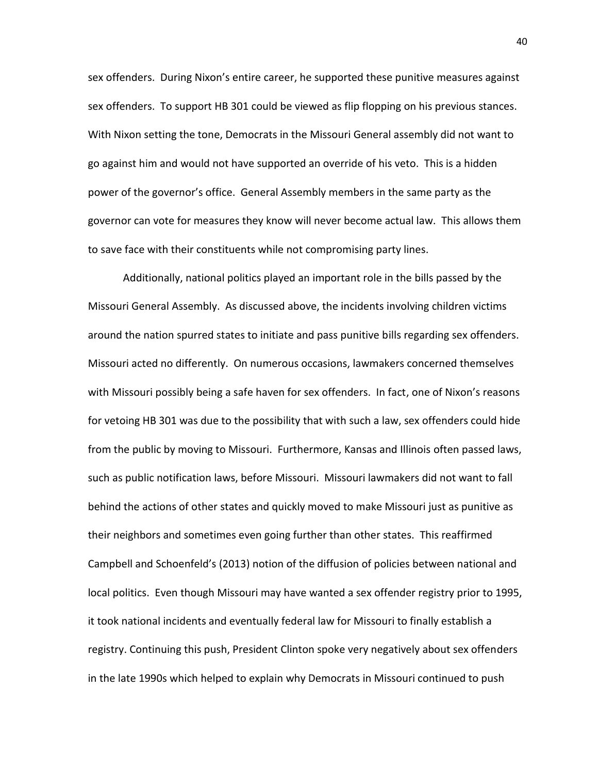sex offenders. During Nixon's entire career, he supported these punitive measures against sex offenders. To support HB 301 could be viewed as flip flopping on his previous stances. With Nixon setting the tone, Democrats in the Missouri General assembly did not want to go against him and would not have supported an override of his veto. This is a hidden power of the governor's office. General Assembly members in the same party as the governor can vote for measures they know will never become actual law. This allows them to save face with their constituents while not compromising party lines.

Additionally, national politics played an important role in the bills passed by the Missouri General Assembly. As discussed above, the incidents involving children victims around the nation spurred states to initiate and pass punitive bills regarding sex offenders. Missouri acted no differently. On numerous occasions, lawmakers concerned themselves with Missouri possibly being a safe haven for sex offenders. In fact, one of Nixon's reasons for vetoing HB 301 was due to the possibility that with such a law, sex offenders could hide from the public by moving to Missouri. Furthermore, Kansas and Illinois often passed laws, such as public notification laws, before Missouri. Missouri lawmakers did not want to fall behind the actions of other states and quickly moved to make Missouri just as punitive as their neighbors and sometimes even going further than other states. This reaffirmed Campbell and Schoenfeld's (2013) notion of the diffusion of policies between national and local politics. Even though Missouri may have wanted a sex offender registry prior to 1995, it took national incidents and eventually federal law for Missouri to finally establish a registry. Continuing this push, President Clinton spoke very negatively about sex offenders in the late 1990s which helped to explain why Democrats in Missouri continued to push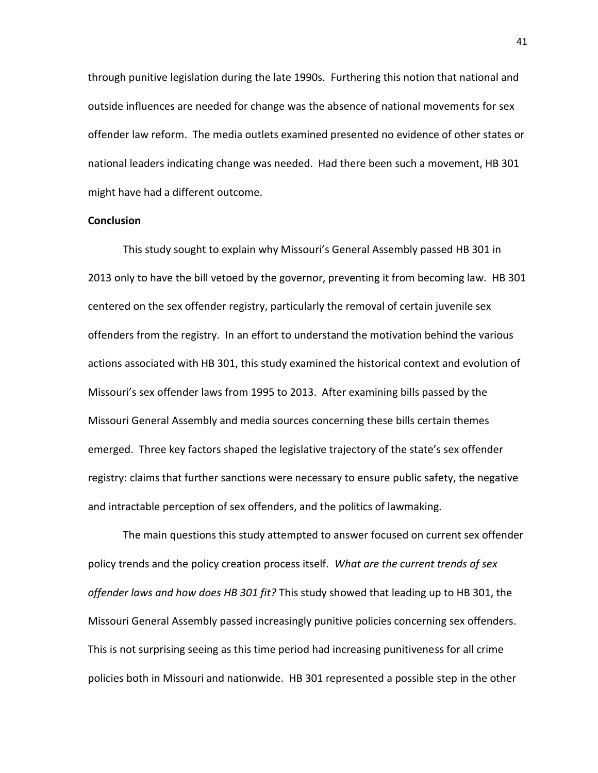through punitive legislation during the late 1990s. Furthering this notion that national and outside influences are needed for change was the absence of national movements for sex offender law reform. The media outlets examined presented no evidence of other states or national leaders indicating change was needed. Had there been such a movement, HB 301 might have had a different outcome.

#### **Conclusion**

This study sought to explain why Missouri's General Assembly passed HB 301 in 2013 only to have the bill vetoed by the governor, preventing it from becoming law. HB 301 centered on the sex offender registry, particularly the removal of certain juvenile sex offenders from the registry. In an effort to understand the motivation behind the various actions associated with HB 301, this study examined the historical context and evolution of Missouri's sex offender laws from 1995 to 2013. After examining bills passed by the Missouri General Assembly and media sources concerning these bills certain themes emerged. Three key factors shaped the legislative trajectory of the state's sex offender registry: claims that further sanctions were necessary to ensure public safety, the negative and intractable perception of sex offenders, and the politics of lawmaking.

The main questions this study attempted to answer focused on current sex offender policy trends and the policy creation process itself. *What are the current trends of sex offender laws and how does HB 301 fit?* This study showed that leading up to HB 301, the Missouri General Assembly passed increasingly punitive policies concerning sex offenders. This is not surprising seeing as this time period had increasing punitiveness for all crime policies both in Missouri and nationwide. HB 301 represented a possible step in the other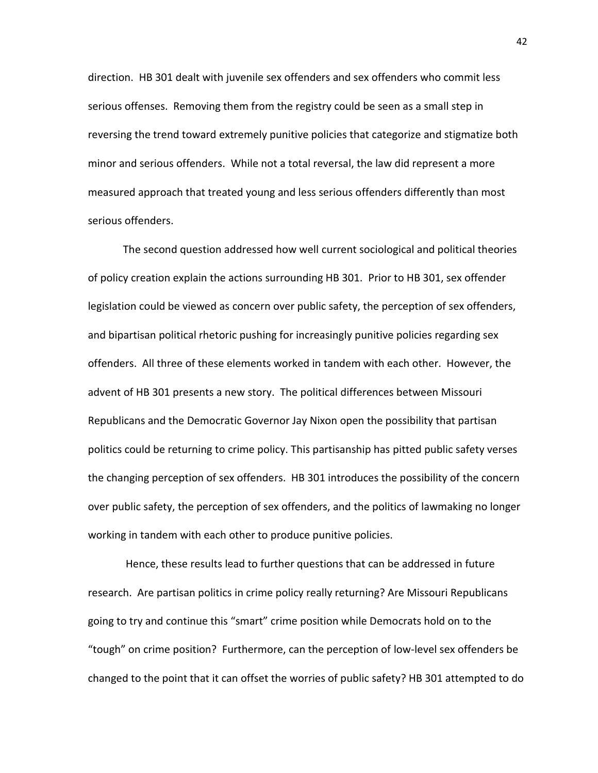direction. HB 301 dealt with juvenile sex offenders and sex offenders who commit less serious offenses. Removing them from the registry could be seen as a small step in reversing the trend toward extremely punitive policies that categorize and stigmatize both minor and serious offenders. While not a total reversal, the law did represent a more measured approach that treated young and less serious offenders differently than most serious offenders.

The second question addressed how well current sociological and political theories of policy creation explain the actions surrounding HB 301. Prior to HB 301, sex offender legislation could be viewed as concern over public safety, the perception of sex offenders, and bipartisan political rhetoric pushing for increasingly punitive policies regarding sex offenders. All three of these elements worked in tandem with each other. However, the advent of HB 301 presents a new story. The political differences between Missouri Republicans and the Democratic Governor Jay Nixon open the possibility that partisan politics could be returning to crime policy. This partisanship has pitted public safety verses the changing perception of sex offenders. HB 301 introduces the possibility of the concern over public safety, the perception of sex offenders, and the politics of lawmaking no longer working in tandem with each other to produce punitive policies.

Hence, these results lead to further questions that can be addressed in future research. Are partisan politics in crime policy really returning? Are Missouri Republicans going to try and continue this "smart" crime position while Democrats hold on to the "tough" on crime position? Furthermore, can the perception of low-level sex offenders be changed to the point that it can offset the worries of public safety? HB 301 attempted to do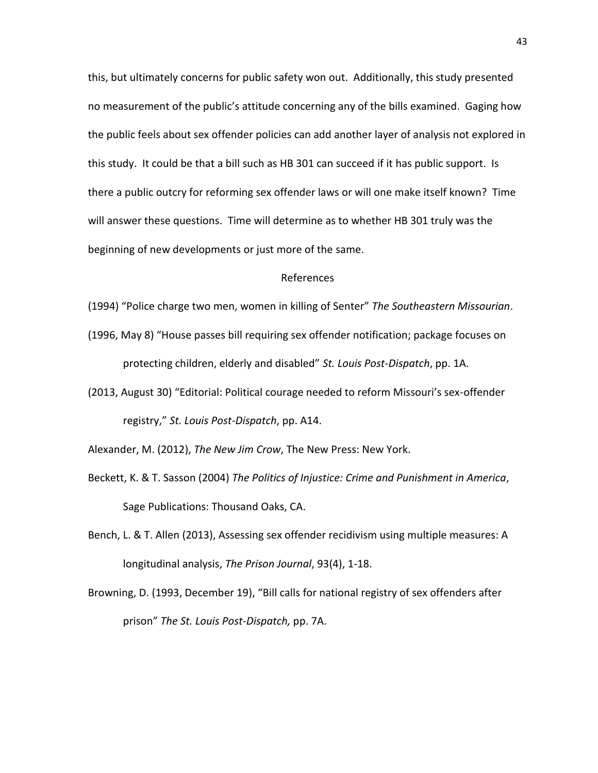this, but ultimately concerns for public safety won out. Additionally, this study presented no measurement of the public's attitude concerning any of the bills examined. Gaging how the public feels about sex offender policies can add another layer of analysis not explored in this study. It could be that a bill such as HB 301 can succeed if it has public support. Is there a public outcry for reforming sex offender laws or will one make itself known? Time will answer these questions. Time will determine as to whether HB 301 truly was the beginning of new developments or just more of the same.

#### References

- (1994) "Police charge two men, women in killing of Senter" *The Southeastern Missourian*.
- (1996, May 8) "House passes bill requiring sex offender notification; package focuses on protecting children, elderly and disabled" *St. Louis Post-Dispatch*, pp. 1A.
- (2013, August 30) "Editorial: Political courage needed to reform Missouri's sex-offender registry," *St. Louis Post-Dispatch*, pp. A14.
- Alexander, M. (2012), *The New Jim Crow*, The New Press: New York.
- Beckett, K. & T. Sasson (2004) *The Politics of Injustice: Crime and Punishment in America*, Sage Publications: Thousand Oaks, CA.
- Bench, L. & T. Allen (2013), Assessing sex offender recidivism using multiple measures: A longitudinal analysis, *The Prison Journal*, 93(4), 1-18.
- Browning, D. (1993, December 19), "Bill calls for national registry of sex offenders after prison" *The St. Louis Post-Dispatch,* pp. 7A.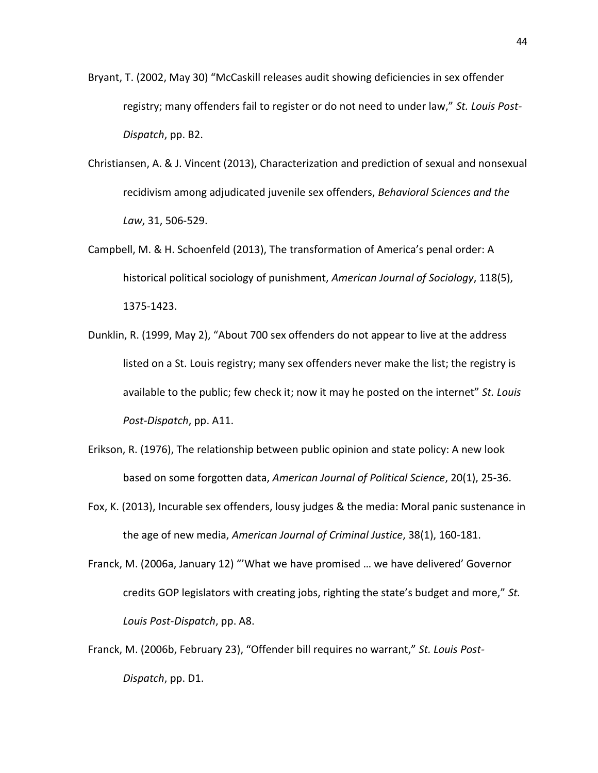- Bryant, T. (2002, May 30) "McCaskill releases audit showing deficiencies in sex offender registry; many offenders fail to register or do not need to under law," *St. Louis Post-Dispatch*, pp. B2.
- Christiansen, A. & J. Vincent (2013), Characterization and prediction of sexual and nonsexual recidivism among adjudicated juvenile sex offenders, *Behavioral Sciences and the Law*, 31, 506-529.
- Campbell, M. & H. Schoenfeld (2013), The transformation of America's penal order: A historical political sociology of punishment, *American Journal of Sociology*, 118(5), 1375-1423.
- Dunklin, R. (1999, May 2), "About 700 sex offenders do not appear to live at the address listed on a St. Louis registry; many sex offenders never make the list; the registry is available to the public; few check it; now it may he posted on the internet" *St. Louis Post-Dispatch*, pp. A11.
- Erikson, R. (1976), The relationship between public opinion and state policy: A new look based on some forgotten data, *American Journal of Political Science*, 20(1), 25-36.
- Fox, K. (2013), Incurable sex offenders, lousy judges & the media: Moral panic sustenance in the age of new media, *American Journal of Criminal Justice*, 38(1), 160-181.
- Franck, M. (2006a, January 12) "'What we have promised … we have delivered' Governor credits GOP legislators with creating jobs, righting the state's budget and more," *St. Louis Post-Dispatch*, pp. A8.
- Franck, M. (2006b, February 23), "Offender bill requires no warrant," *St. Louis Post-Dispatch*, pp. D1.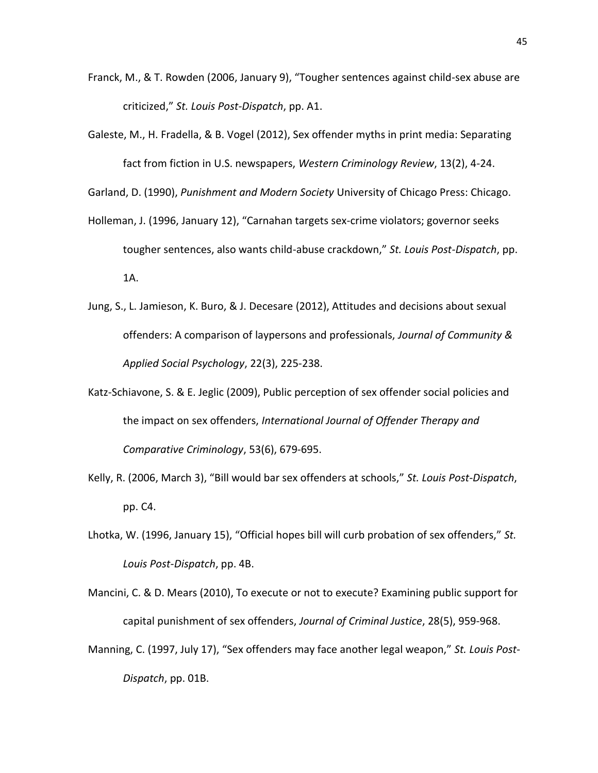- Franck, M., & T. Rowden (2006, January 9), "Tougher sentences against child-sex abuse are criticized," *St. Louis Post-Dispatch*, pp. A1.
- Galeste, M., H. Fradella, & B. Vogel (2012), Sex offender myths in print media: Separating fact from fiction in U.S. newspapers, *Western Criminology Review*, 13(2), 4-24.

Garland, D. (1990), *Punishment and Modern Society* University of Chicago Press: Chicago.

- Holleman, J. (1996, January 12), "Carnahan targets sex-crime violators; governor seeks tougher sentences, also wants child-abuse crackdown," *St. Louis Post-Dispatch*, pp. 1A.
- Jung, S., L. Jamieson, K. Buro, & J. Decesare (2012), Attitudes and decisions about sexual offenders: A comparison of laypersons and professionals, *Journal of Community & Applied Social Psychology*, 22(3), 225-238.
- Katz-Schiavone, S. & E. Jeglic (2009), Public perception of sex offender social policies and the impact on sex offenders, *International Journal of Offender Therapy and Comparative Criminology*, 53(6), 679-695.
- Kelly, R. (2006, March 3), "Bill would bar sex offenders at schools," *St. Louis Post-Dispatch*, pp. C4.
- Lhotka, W. (1996, January 15), "Official hopes bill will curb probation of sex offenders," *St. Louis Post-Dispatch*, pp. 4B.
- Mancini, C. & D. Mears (2010), To execute or not to execute? Examining public support for capital punishment of sex offenders, *Journal of Criminal Justice*, 28(5), 959-968.
- Manning, C. (1997, July 17), "Sex offenders may face another legal weapon," *St. Louis Post-Dispatch*, pp. 01B.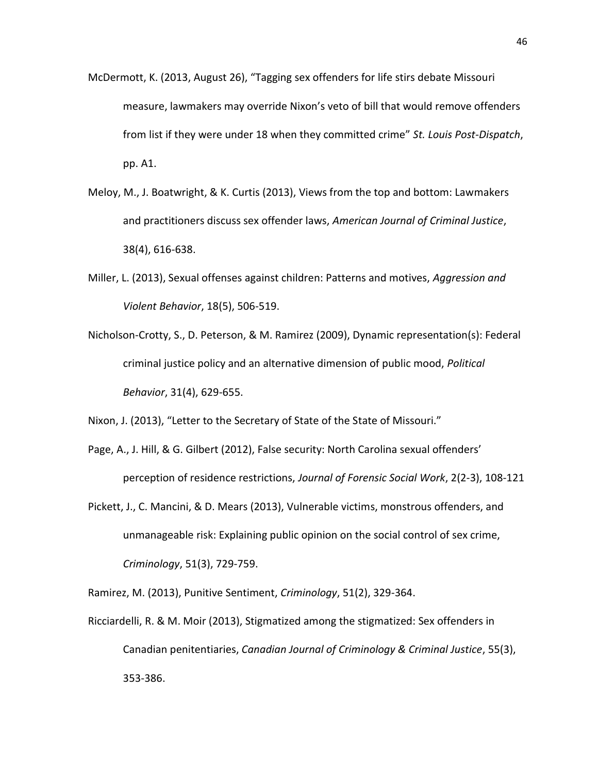- McDermott, K. (2013, August 26), "Tagging sex offenders for life stirs debate Missouri measure, lawmakers may override Nixon's veto of bill that would remove offenders from list if they were under 18 when they committed crime" *St. Louis Post-Dispatch*, pp. A1.
- Meloy, M., J. Boatwright, & K. Curtis (2013), Views from the top and bottom: Lawmakers and practitioners discuss sex offender laws, *American Journal of Criminal Justice*, 38(4), 616-638.
- Miller, L. (2013), Sexual offenses against children: Patterns and motives, *Aggression and Violent Behavior*, 18(5), 506-519.
- Nicholson-Crotty, S., D. Peterson, & M. Ramirez (2009), Dynamic representation(s): Federal criminal justice policy and an alternative dimension of public mood, *Political Behavior*, 31(4), 629-655.

Nixon, J. (2013), "Letter to the Secretary of State of the State of Missouri."

- Page, A., J. Hill, & G. Gilbert (2012), False security: North Carolina sexual offenders' perception of residence restrictions, *Journal of Forensic Social Work*, 2(2-3), 108-121
- Pickett, J., C. Mancini, & D. Mears (2013), Vulnerable victims, monstrous offenders, and unmanageable risk: Explaining public opinion on the social control of sex crime, *Criminology*, 51(3), 729-759.

Ramirez, M. (2013), Punitive Sentiment, *Criminology*, 51(2), 329-364.

Ricciardelli, R. & M. Moir (2013), Stigmatized among the stigmatized: Sex offenders in Canadian penitentiaries, *Canadian Journal of Criminology & Criminal Justice*, 55(3), 353-386.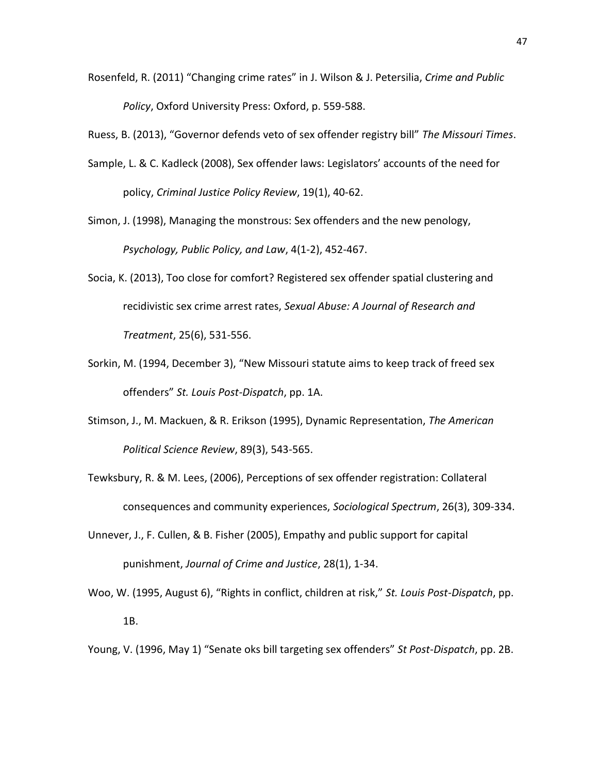Rosenfeld, R. (2011) "Changing crime rates" in J. Wilson & J. Petersilia, *Crime and Public Policy*, Oxford University Press: Oxford, p. 559-588.

Ruess, B. (2013), "Governor defends veto of sex offender registry bill" *The Missouri Times*.

- Sample, L. & C. Kadleck (2008), Sex offender laws: Legislators' accounts of the need for policy, *Criminal Justice Policy Review*, 19(1), 40-62.
- Simon, J. (1998), Managing the monstrous: Sex offenders and the new penology, *Psychology, Public Policy, and Law*, 4(1-2), 452-467.
- Socia, K. (2013), Too close for comfort? Registered sex offender spatial clustering and recidivistic sex crime arrest rates, *Sexual Abuse: A Journal of Research and Treatment*, 25(6), 531-556.
- Sorkin, M. (1994, December 3), "New Missouri statute aims to keep track of freed sex offenders" *St. Louis Post-Dispatch*, pp. 1A.
- Stimson, J., M. Mackuen, & R. Erikson (1995), Dynamic Representation, *The American Political Science Review*, 89(3), 543-565.
- Tewksbury, R. & M. Lees, (2006), Perceptions of sex offender registration: Collateral consequences and community experiences, *Sociological Spectrum*, 26(3), 309-334.
- Unnever, J., F. Cullen, & B. Fisher (2005), Empathy and public support for capital punishment, *Journal of Crime and Justice*, 28(1), 1-34.
- Woo, W. (1995, August 6), "Rights in conflict, children at risk," *St. Louis Post-Dispatch*, pp. 1B.

Young, V. (1996, May 1) "Senate oks bill targeting sex offenders" *St Post-Dispatch*, pp. 2B.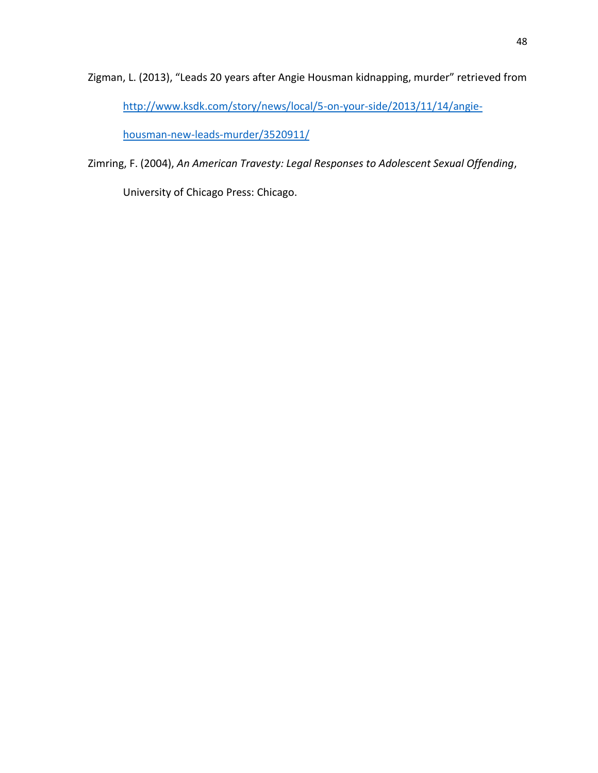Zigman, L. (2013), "Leads 20 years after Angie Housman kidnapping, murder" retrieved from [http://www.ksdk.com/story/news/local/5-on-your-side/2013/11/14/angie-](http://www.ksdk.com/story/news/local/5-on-your-side/2013/11/14/angie-housman-new-leads-murder/3520911/)

[housman-new-leads-murder/3520911/](http://www.ksdk.com/story/news/local/5-on-your-side/2013/11/14/angie-housman-new-leads-murder/3520911/)

Zimring, F. (2004), *An American Travesty: Legal Responses to Adolescent Sexual Offending*,

University of Chicago Press: Chicago.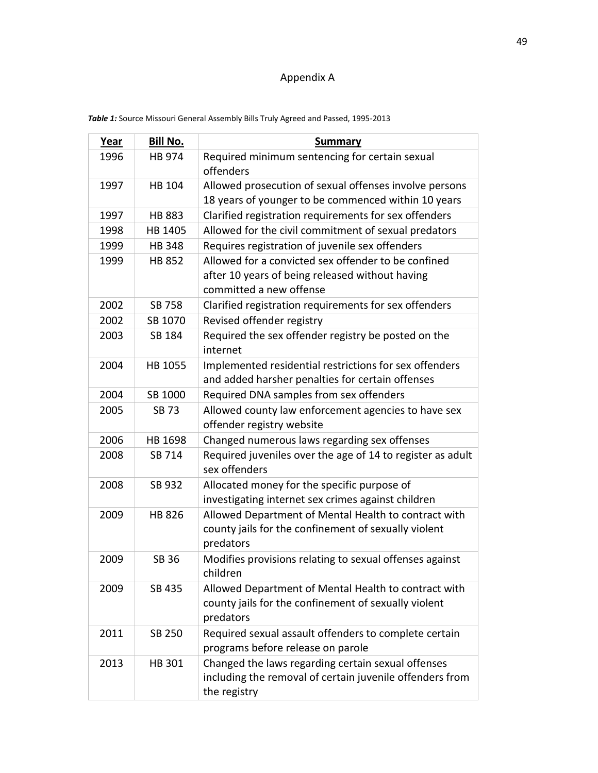# Appendix A

| <b>Year</b> | Bill No.      | <b>Summary</b>                                                                             |  |  |
|-------------|---------------|--------------------------------------------------------------------------------------------|--|--|
| 1996        | HB 974        | Required minimum sentencing for certain sexual<br>offenders                                |  |  |
| 1997        | <b>HB 104</b> | Allowed prosecution of sexual offenses involve persons                                     |  |  |
|             |               | 18 years of younger to be commenced within 10 years                                        |  |  |
| 1997        | <b>HB 883</b> | Clarified registration requirements for sex offenders                                      |  |  |
| 1998        | HB 1405       | Allowed for the civil commitment of sexual predators                                       |  |  |
| 1999        | <b>HB348</b>  | Requires registration of juvenile sex offenders                                            |  |  |
| 1999        | <b>HB 852</b> | Allowed for a convicted sex offender to be confined                                        |  |  |
|             |               | after 10 years of being released without having<br>committed a new offense                 |  |  |
| 2002        | SB 758        | Clarified registration requirements for sex offenders                                      |  |  |
| 2002        | SB 1070       | Revised offender registry                                                                  |  |  |
| 2003        | SB 184        | Required the sex offender registry be posted on the<br>internet                            |  |  |
| 2004        | HB 1055       | Implemented residential restrictions for sex offenders                                     |  |  |
|             |               | and added harsher penalties for certain offenses                                           |  |  |
| 2004        | SB 1000       | Required DNA samples from sex offenders                                                    |  |  |
| 2005        | <b>SB73</b>   | Allowed county law enforcement agencies to have sex                                        |  |  |
|             |               | offender registry website                                                                  |  |  |
| 2006        | HB 1698       | Changed numerous laws regarding sex offenses                                               |  |  |
| 2008        | SB 714        | Required juveniles over the age of 14 to register as adult<br>sex offenders                |  |  |
| 2008        | SB 932        | Allocated money for the specific purpose of                                                |  |  |
|             |               | investigating internet sex crimes against children                                         |  |  |
| 2009        | <b>HB 826</b> | Allowed Department of Mental Health to contract with                                       |  |  |
|             |               | county jails for the confinement of sexually violent                                       |  |  |
|             |               | predators                                                                                  |  |  |
| 2009        | <b>SB 36</b>  | Modifies provisions relating to sexual offenses against<br>children                        |  |  |
| 2009        | SB 435        | Allowed Department of Mental Health to contract with                                       |  |  |
|             |               | county jails for the confinement of sexually violent                                       |  |  |
|             |               | predators                                                                                  |  |  |
| 2011        | SB 250        | Required sexual assault offenders to complete certain<br>programs before release on parole |  |  |
| 2013        | HB 301        | Changed the laws regarding certain sexual offenses                                         |  |  |
|             |               | including the removal of certain juvenile offenders from                                   |  |  |
|             |               | the registry                                                                               |  |  |

*Table 1:* Source Missouri General Assembly Bills Truly Agreed and Passed, 1995-2013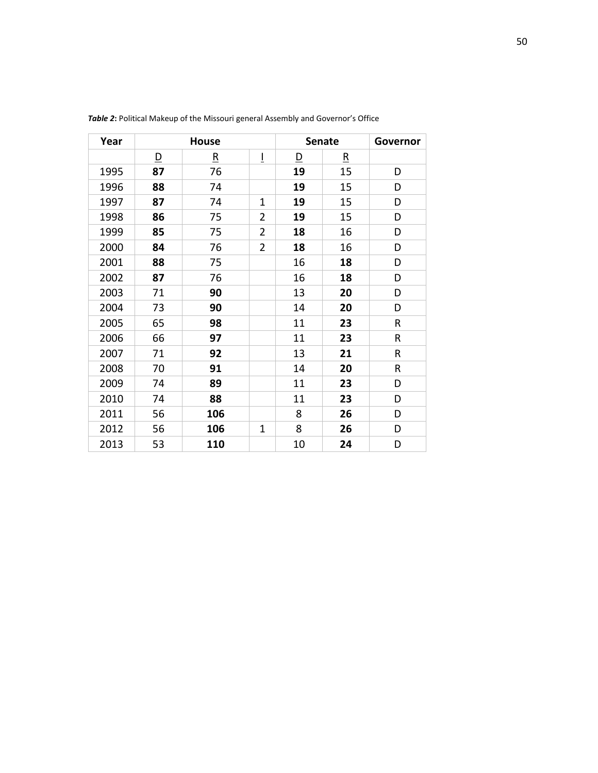| Year | <b>House</b> |                         |                | <b>Senate</b>           |                         | Governor |
|------|--------------|-------------------------|----------------|-------------------------|-------------------------|----------|
|      | <u>D</u>     | $\overline{\mathbf{R}}$ | Ī              | $\overline{\mathsf{D}}$ | $\overline{\mathbf{R}}$ |          |
| 1995 | 87           | 76                      |                | 19                      | 15                      | D        |
| 1996 | 88           | 74                      |                | 19                      | 15                      | D        |
| 1997 | 87           | 74                      | 1              | 19                      | 15                      | D        |
| 1998 | 86           | 75                      | $\overline{2}$ | 19                      | 15                      | D        |
| 1999 | 85           | 75                      | $\overline{2}$ | 18                      | 16                      | D        |
| 2000 | 84           | 76                      | $\overline{2}$ | 18                      | 16                      | D        |
| 2001 | 88           | 75                      |                | 16                      | 18                      | D        |
| 2002 | 87           | 76                      |                | 16                      | 18                      | D        |
| 2003 | 71           | 90                      |                | 13                      | 20                      | D        |
| 2004 | 73           | 90                      |                | 14                      | 20                      | D        |
| 2005 | 65           | 98                      |                | 11                      | 23                      | R        |
| 2006 | 66           | 97                      |                | 11                      | 23                      | R        |
| 2007 | 71           | 92                      |                | 13                      | 21                      | R        |
| 2008 | 70           | 91                      |                | 14                      | 20                      | R        |
| 2009 | 74           | 89                      |                | 11                      | 23                      | D        |
| 2010 | 74           | 88                      |                | 11                      | 23                      | D        |
| 2011 | 56           | 106                     |                | 8                       | 26                      | D        |
| 2012 | 56           | 106                     | $\mathbf{1}$   | 8                       | 26                      | D        |
| 2013 | 53           | 110                     |                | 10                      | 24                      | D        |

*Table 2***:** Political Makeup of the Missouri general Assembly and Governor's Office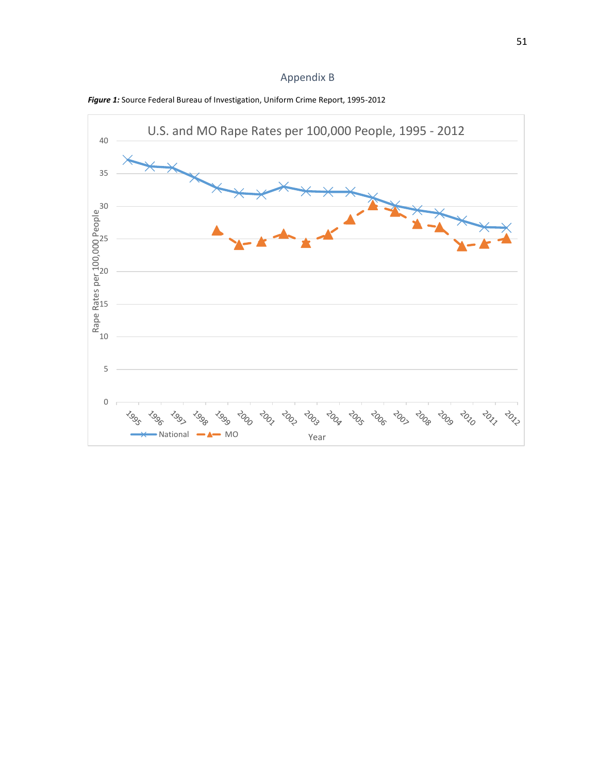# Appendix B



*Figure 1:* Source Federal Bureau of Investigation, Uniform Crime Report, 1995-2012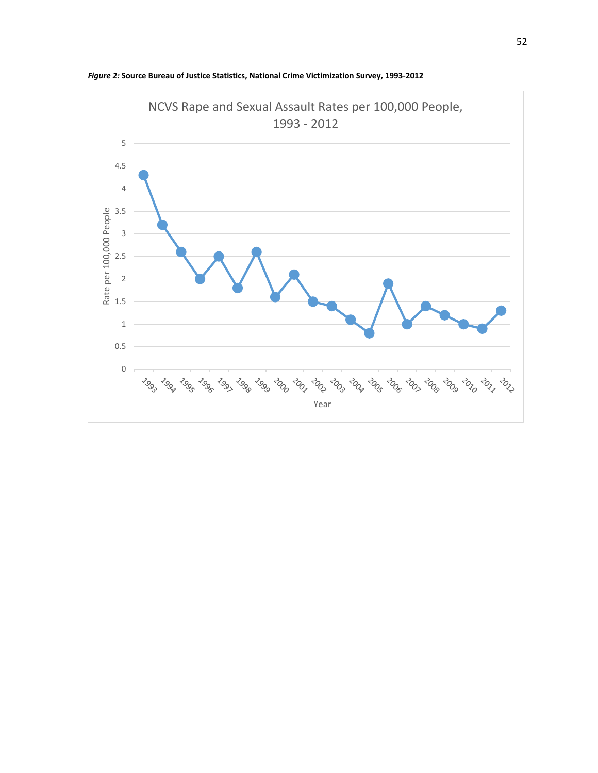

*Figure 2:* **Source Bureau of Justice Statistics, National Crime Victimization Survey, 1993-2012**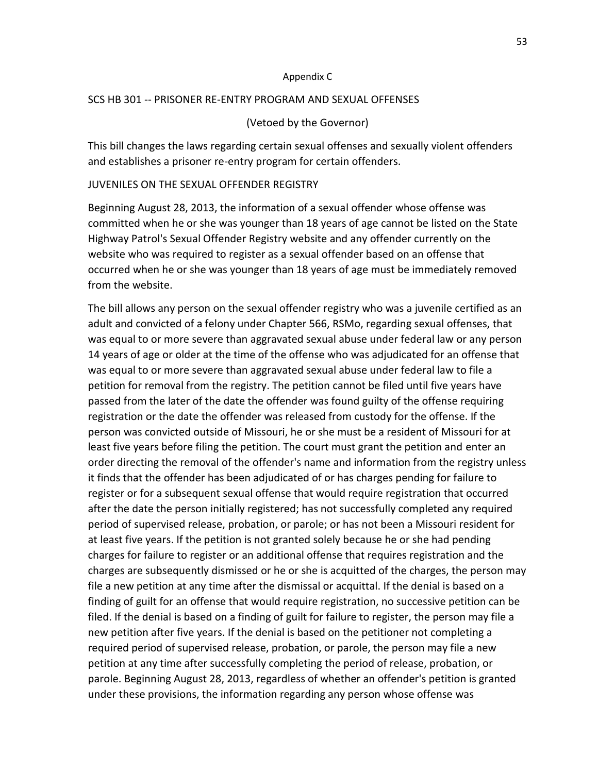#### Appendix C

#### SCS HB 301 -- PRISONER RE-ENTRY PROGRAM AND SEXUAL OFFENSES

#### (Vetoed by the Governor)

This bill changes the laws regarding certain sexual offenses and sexually violent offenders and establishes a prisoner re-entry program for certain offenders.

#### JUVENILES ON THE SEXUAL OFFENDER REGISTRY

Beginning August 28, 2013, the information of a sexual offender whose offense was committed when he or she was younger than 18 years of age cannot be listed on the State Highway Patrol's Sexual Offender Registry website and any offender currently on the website who was required to register as a sexual offender based on an offense that occurred when he or she was younger than 18 years of age must be immediately removed from the website.

The bill allows any person on the sexual offender registry who was a juvenile certified as an adult and convicted of a felony under Chapter 566, RSMo, regarding sexual offenses, that was equal to or more severe than aggravated sexual abuse under federal law or any person 14 years of age or older at the time of the offense who was adjudicated for an offense that was equal to or more severe than aggravated sexual abuse under federal law to file a petition for removal from the registry. The petition cannot be filed until five years have passed from the later of the date the offender was found guilty of the offense requiring registration or the date the offender was released from custody for the offense. If the person was convicted outside of Missouri, he or she must be a resident of Missouri for at least five years before filing the petition. The court must grant the petition and enter an order directing the removal of the offender's name and information from the registry unless it finds that the offender has been adjudicated of or has charges pending for failure to register or for a subsequent sexual offense that would require registration that occurred after the date the person initially registered; has not successfully completed any required period of supervised release, probation, or parole; or has not been a Missouri resident for at least five years. If the petition is not granted solely because he or she had pending charges for failure to register or an additional offense that requires registration and the charges are subsequently dismissed or he or she is acquitted of the charges, the person may file a new petition at any time after the dismissal or acquittal. If the denial is based on a finding of guilt for an offense that would require registration, no successive petition can be filed. If the denial is based on a finding of guilt for failure to register, the person may file a new petition after five years. If the denial is based on the petitioner not completing a required period of supervised release, probation, or parole, the person may file a new petition at any time after successfully completing the period of release, probation, or parole. Beginning August 28, 2013, regardless of whether an offender's petition is granted under these provisions, the information regarding any person whose offense was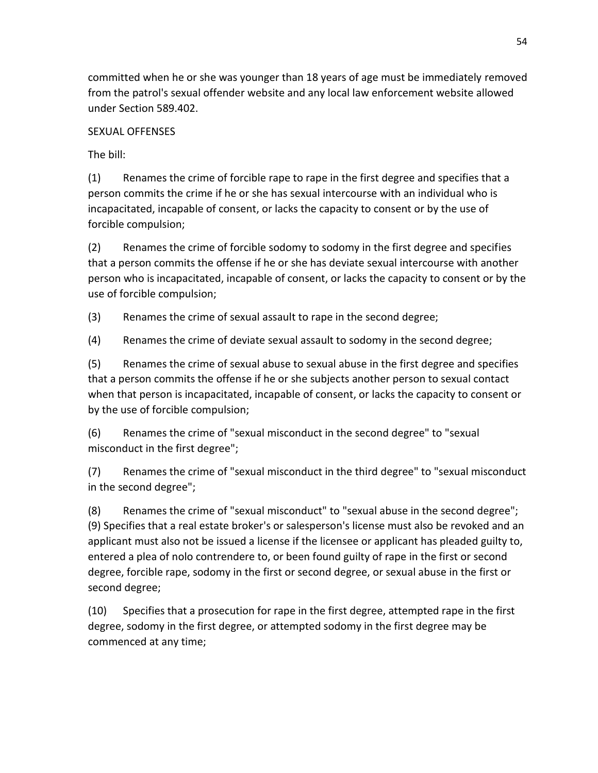committed when he or she was younger than 18 years of age must be immediately removed from the patrol's sexual offender website and any local law enforcement website allowed under Section 589.402.

# SEXUAL OFFENSES

The bill:

(1) Renames the crime of forcible rape to rape in the first degree and specifies that a person commits the crime if he or she has sexual intercourse with an individual who is incapacitated, incapable of consent, or lacks the capacity to consent or by the use of forcible compulsion;

(2) Renames the crime of forcible sodomy to sodomy in the first degree and specifies that a person commits the offense if he or she has deviate sexual intercourse with another person who is incapacitated, incapable of consent, or lacks the capacity to consent or by the use of forcible compulsion;

(3) Renames the crime of sexual assault to rape in the second degree;

(4) Renames the crime of deviate sexual assault to sodomy in the second degree;

(5) Renames the crime of sexual abuse to sexual abuse in the first degree and specifies that a person commits the offense if he or she subjects another person to sexual contact when that person is incapacitated, incapable of consent, or lacks the capacity to consent or by the use of forcible compulsion;

(6) Renames the crime of "sexual misconduct in the second degree" to "sexual misconduct in the first degree";

(7) Renames the crime of "sexual misconduct in the third degree" to "sexual misconduct in the second degree";

(8) Renames the crime of "sexual misconduct" to "sexual abuse in the second degree"; (9) Specifies that a real estate broker's or salesperson's license must also be revoked and an applicant must also not be issued a license if the licensee or applicant has pleaded guilty to, entered a plea of nolo contrendere to, or been found guilty of rape in the first or second degree, forcible rape, sodomy in the first or second degree, or sexual abuse in the first or second degree;

(10) Specifies that a prosecution for rape in the first degree, attempted rape in the first degree, sodomy in the first degree, or attempted sodomy in the first degree may be commenced at any time;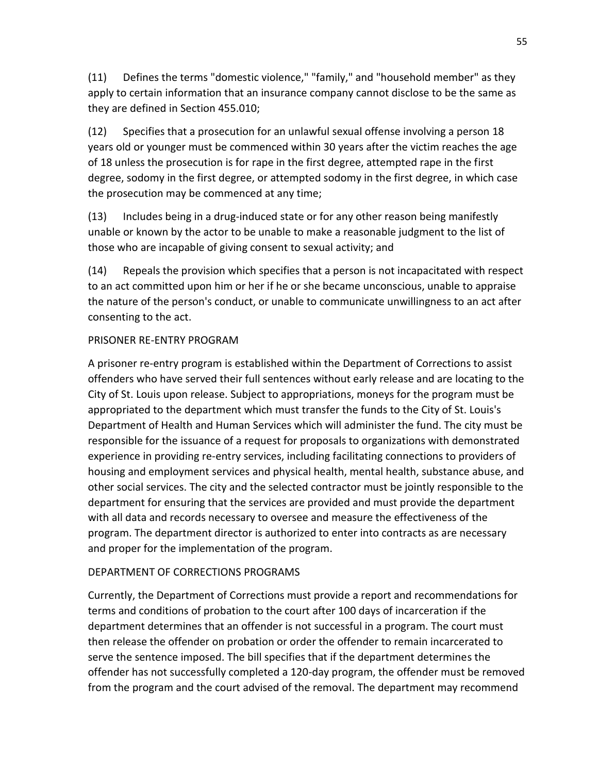(11) Defines the terms "domestic violence," "family," and "household member" as they apply to certain information that an insurance company cannot disclose to be the same as they are defined in Section 455.010;

(12) Specifies that a prosecution for an unlawful sexual offense involving a person 18 years old or younger must be commenced within 30 years after the victim reaches the age of 18 unless the prosecution is for rape in the first degree, attempted rape in the first degree, sodomy in the first degree, or attempted sodomy in the first degree, in which case the prosecution may be commenced at any time;

(13) Includes being in a drug-induced state or for any other reason being manifestly unable or known by the actor to be unable to make a reasonable judgment to the list of those who are incapable of giving consent to sexual activity; and

(14) Repeals the provision which specifies that a person is not incapacitated with respect to an act committed upon him or her if he or she became unconscious, unable to appraise the nature of the person's conduct, or unable to communicate unwillingness to an act after consenting to the act.

## PRISONER RE-ENTRY PROGRAM

A prisoner re-entry program is established within the Department of Corrections to assist offenders who have served their full sentences without early release and are locating to the City of St. Louis upon release. Subject to appropriations, moneys for the program must be appropriated to the department which must transfer the funds to the City of St. Louis's Department of Health and Human Services which will administer the fund. The city must be responsible for the issuance of a request for proposals to organizations with demonstrated experience in providing re-entry services, including facilitating connections to providers of housing and employment services and physical health, mental health, substance abuse, and other social services. The city and the selected contractor must be jointly responsible to the department for ensuring that the services are provided and must provide the department with all data and records necessary to oversee and measure the effectiveness of the program. The department director is authorized to enter into contracts as are necessary and proper for the implementation of the program.

# DEPARTMENT OF CORRECTIONS PROGRAMS

Currently, the Department of Corrections must provide a report and recommendations for terms and conditions of probation to the court after 100 days of incarceration if the department determines that an offender is not successful in a program. The court must then release the offender on probation or order the offender to remain incarcerated to serve the sentence imposed. The bill specifies that if the department determines the offender has not successfully completed a 120-day program, the offender must be removed from the program and the court advised of the removal. The department may recommend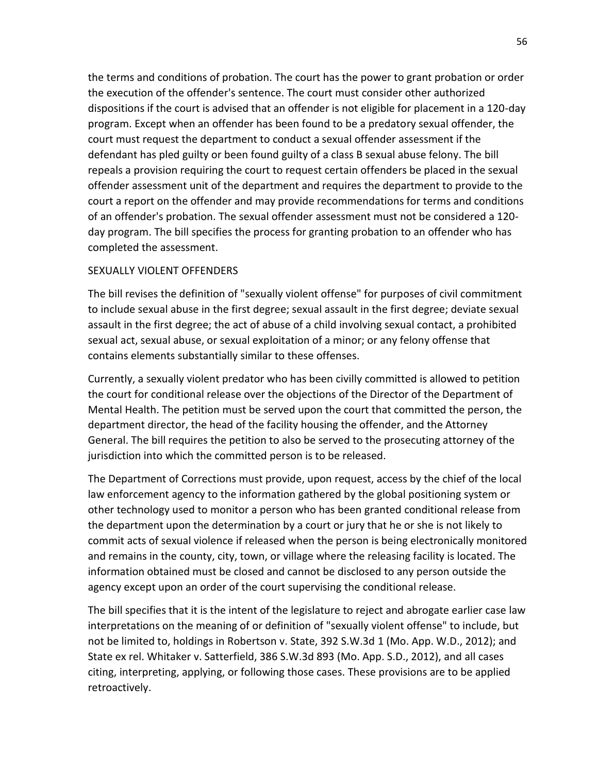the terms and conditions of probation. The court has the power to grant probation or order the execution of the offender's sentence. The court must consider other authorized dispositions if the court is advised that an offender is not eligible for placement in a 120-day program. Except when an offender has been found to be a predatory sexual offender, the court must request the department to conduct a sexual offender assessment if the defendant has pled guilty or been found guilty of a class B sexual abuse felony. The bill repeals a provision requiring the court to request certain offenders be placed in the sexual offender assessment unit of the department and requires the department to provide to the court a report on the offender and may provide recommendations for terms and conditions of an offender's probation. The sexual offender assessment must not be considered a 120 day program. The bill specifies the process for granting probation to an offender who has completed the assessment.

### SEXUALLY VIOLENT OFFENDERS

The bill revises the definition of "sexually violent offense" for purposes of civil commitment to include sexual abuse in the first degree; sexual assault in the first degree; deviate sexual assault in the first degree; the act of abuse of a child involving sexual contact, a prohibited sexual act, sexual abuse, or sexual exploitation of a minor; or any felony offense that contains elements substantially similar to these offenses.

Currently, a sexually violent predator who has been civilly committed is allowed to petition the court for conditional release over the objections of the Director of the Department of Mental Health. The petition must be served upon the court that committed the person, the department director, the head of the facility housing the offender, and the Attorney General. The bill requires the petition to also be served to the prosecuting attorney of the jurisdiction into which the committed person is to be released.

The Department of Corrections must provide, upon request, access by the chief of the local law enforcement agency to the information gathered by the global positioning system or other technology used to monitor a person who has been granted conditional release from the department upon the determination by a court or jury that he or she is not likely to commit acts of sexual violence if released when the person is being electronically monitored and remains in the county, city, town, or village where the releasing facility is located. The information obtained must be closed and cannot be disclosed to any person outside the agency except upon an order of the court supervising the conditional release.

The bill specifies that it is the intent of the legislature to reject and abrogate earlier case law interpretations on the meaning of or definition of "sexually violent offense" to include, but not be limited to, holdings in Robertson v. State, 392 S.W.3d 1 (Mo. App. W.D., 2012); and State ex rel. Whitaker v. Satterfield, 386 S.W.3d 893 (Mo. App. S.D., 2012), and all cases citing, interpreting, applying, or following those cases. These provisions are to be applied retroactively.